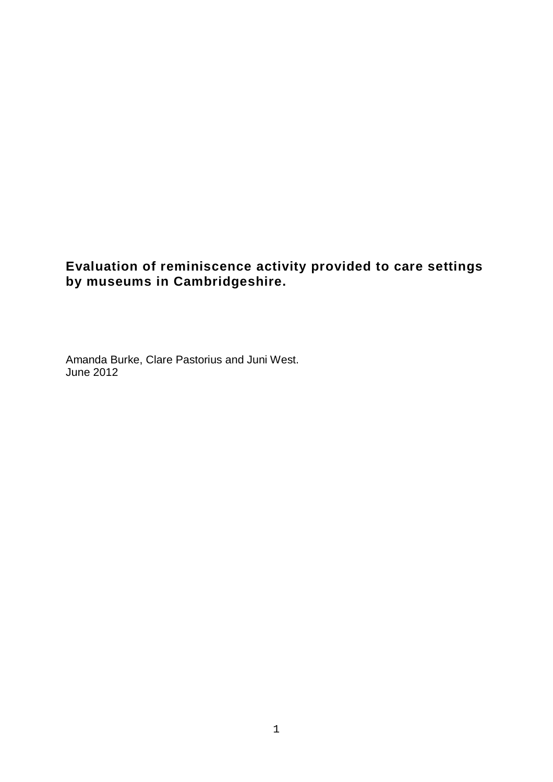# **Evaluation of reminiscence activity provided to care settings by museums in Cambridgeshire.**

Amanda Burke, Clare Pastorius and Juni West. June 2012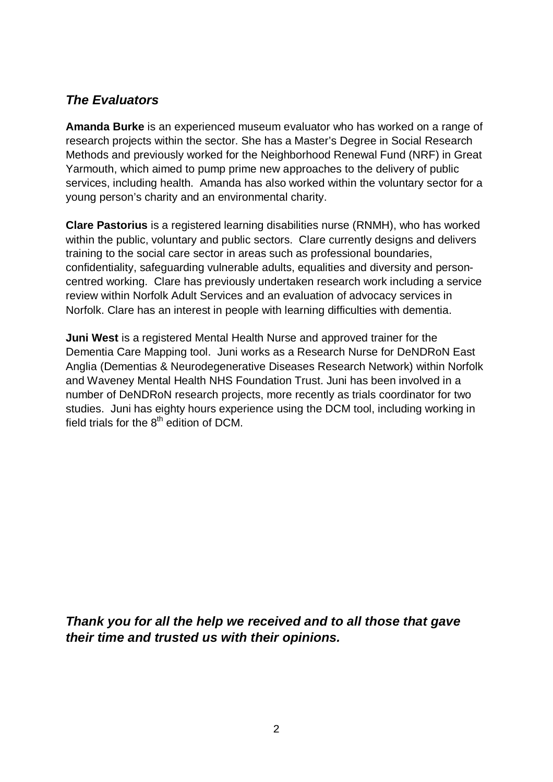# *The Evaluators*

**Amanda Burke** is an experienced museum evaluator who has worked on a range of research projects within the sector. She has a Master's Degree in Social Research Methods and previously worked for the Neighborhood Renewal Fund (NRF) in Great Yarmouth, which aimed to pump prime new approaches to the delivery of public services, including health. Amanda has also worked within the voluntary sector for a young person's charity and an environmental charity.

**Clare Pastorius** is a registered learning disabilities nurse (RNMH), who has worked within the public, voluntary and public sectors. Clare currently designs and delivers training to the social care sector in areas such as professional boundaries, confidentiality, safeguarding vulnerable adults, equalities and diversity and personcentred working. Clare has previously undertaken research work including a service review within Norfolk Adult Services and an evaluation of advocacy services in Norfolk. Clare has an interest in people with learning difficulties with dementia.

**Juni West** is a registered Mental Health Nurse and approved trainer for the Dementia Care Mapping tool. Juni works as a Research Nurse for DeNDRoN East Anglia (Dementias & Neurodegenerative Diseases Research Network) within Norfolk and Waveney Mental Health NHS Foundation Trust. Juni has been involved in a number of DeNDRoN research projects, more recently as trials coordinator for two studies. Juni has eighty hours experience using the DCM tool, including working in field trials for the  $8<sup>th</sup>$  edition of DCM.

*Thank you for all the help we received and to all those that gave their time and trusted us with their opinions.*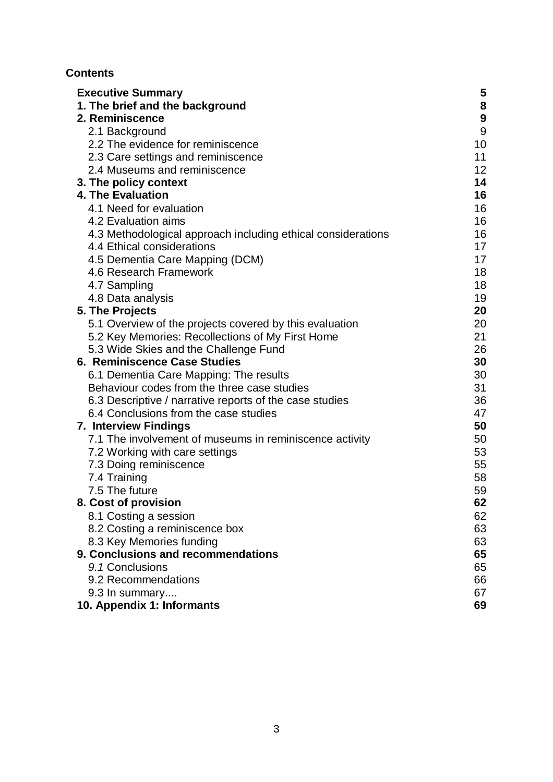## **Contents**

| <b>Executive Summary</b>                                     | 5                |
|--------------------------------------------------------------|------------------|
| 1. The brief and the background                              | 8                |
| 2. Reminiscence                                              | $\boldsymbol{9}$ |
| 2.1 Background                                               | 9                |
| 2.2 The evidence for reminiscence                            | 10               |
| 2.3 Care settings and reminiscence                           | 11               |
| 2.4 Museums and reminiscence                                 | 12 <sub>2</sub>  |
| 3. The policy context                                        | 14               |
| 4. The Evaluation                                            | 16               |
| 4.1 Need for evaluation                                      | 16               |
| 4.2 Evaluation aims                                          | 16               |
| 4.3 Methodological approach including ethical considerations | 16               |
| 4.4 Ethical considerations                                   | 17               |
| 4.5 Dementia Care Mapping (DCM)                              | 17               |
| 4.6 Research Framework                                       | 18               |
| 4.7 Sampling                                                 | 18               |
| 4.8 Data analysis                                            | 19               |
| 5. The Projects                                              | 20               |
| 5.1 Overview of the projects covered by this evaluation      | 20               |
| 5.2 Key Memories: Recollections of My First Home             | 21               |
| 5.3 Wide Skies and the Challenge Fund                        | 26               |
| 6. Reminiscence Case Studies                                 | 30               |
| 6.1 Dementia Care Mapping: The results                       | 30               |
| Behaviour codes from the three case studies                  | 31               |
| 6.3 Descriptive / narrative reports of the case studies      | 36               |
| 6.4 Conclusions from the case studies                        | 47               |
| <b>7. Interview Findings</b>                                 | 50               |
| 7.1 The involvement of museums in reminiscence activity      | 50               |
| 7.2 Working with care settings                               | 53               |
| 7.3 Doing reminiscence                                       | 55               |
| 7.4 Training                                                 | 58               |
| 7.5 The future                                               | 59               |
| 8. Cost of provision                                         | 62               |
| 8.1 Costing a session                                        | 62               |
| 8.2 Costing a reminiscence box                               | 63               |
| 8.3 Key Memories funding                                     | 63               |
| 9. Conclusions and recommendations                           | 65               |
| 9.1 Conclusions                                              | 65               |
| 9.2 Recommendations                                          | 66               |
| 9.3 In summary                                               | 67               |
| 10. Appendix 1: Informants                                   | 69               |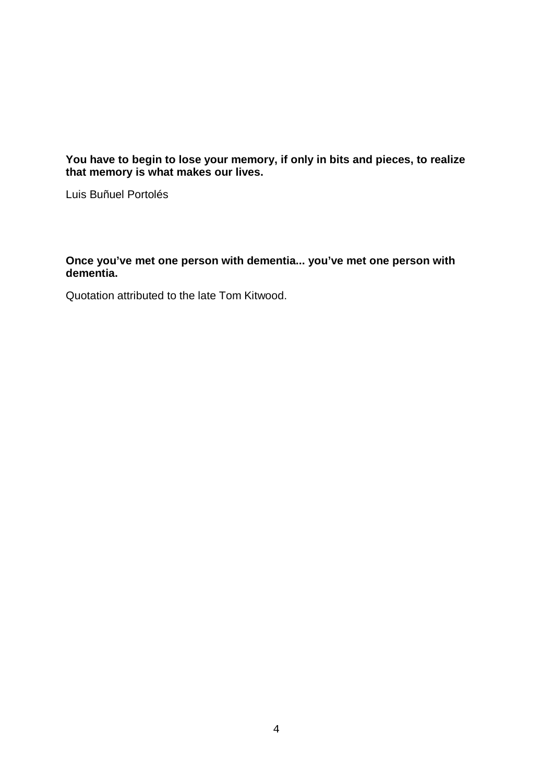**You have to begin to lose your memory, if only in bits and pieces, to realize that memory is what makes our lives.** 

Luis Buñuel Portolés

### **Once you've met one person with dementia... you've met one person with dementia.**

Quotation attributed to the late Tom Kitwood.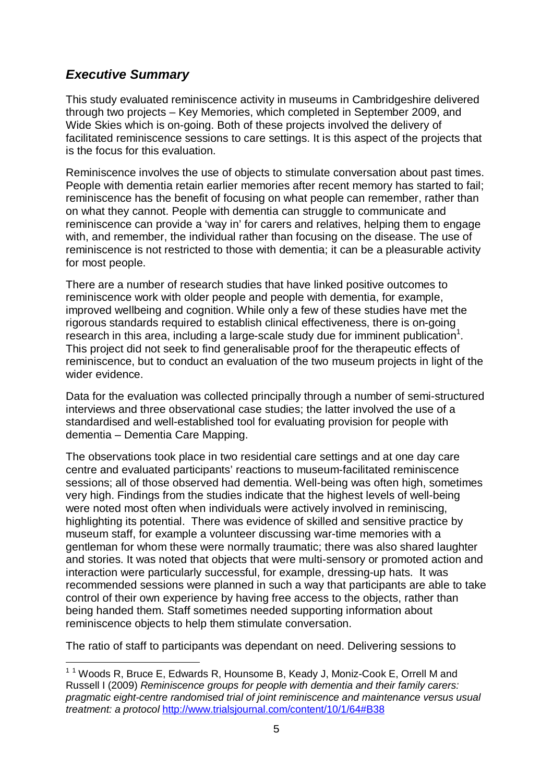# *Executive Summary*

i

This study evaluated reminiscence activity in museums in Cambridgeshire delivered through two projects – Key Memories, which completed in September 2009, and Wide Skies which is on-going. Both of these projects involved the delivery of facilitated reminiscence sessions to care settings. It is this aspect of the projects that is the focus for this evaluation.

Reminiscence involves the use of objects to stimulate conversation about past times. People with dementia retain earlier memories after recent memory has started to fail; reminiscence has the benefit of focusing on what people can remember, rather than on what they cannot. People with dementia can struggle to communicate and reminiscence can provide a 'way in' for carers and relatives, helping them to engage with, and remember, the individual rather than focusing on the disease. The use of reminiscence is not restricted to those with dementia; it can be a pleasurable activity for most people.

There are a number of research studies that have linked positive outcomes to reminiscence work with older people and people with dementia, for example, improved wellbeing and cognition. While only a few of these studies have met the rigorous standards required to establish clinical effectiveness, there is on-going research in this area, including a large-scale study due for imminent publication<sup>1</sup>. This project did not seek to find generalisable proof for the therapeutic effects of reminiscence, but to conduct an evaluation of the two museum projects in light of the wider evidence.

Data for the evaluation was collected principally through a number of semi-structured interviews and three observational case studies; the latter involved the use of a standardised and well-established tool for evaluating provision for people with dementia – Dementia Care Mapping.

The observations took place in two residential care settings and at one day care centre and evaluated participants' reactions to museum-facilitated reminiscence sessions; all of those observed had dementia. Well-being was often high, sometimes very high. Findings from the studies indicate that the highest levels of well-being were noted most often when individuals were actively involved in reminiscing, highlighting its potential. There was evidence of skilled and sensitive practice by museum staff, for example a volunteer discussing war-time memories with a gentleman for whom these were normally traumatic; there was also shared laughter and stories. It was noted that objects that were multi-sensory or promoted action and interaction were particularly successful, for example, dressing-up hats. It was recommended sessions were planned in such a way that participants are able to take control of their own experience by having free access to the objects, rather than being handed them. Staff sometimes needed supporting information about reminiscence objects to help them stimulate conversation.

The ratio of staff to participants was dependant on need. Delivering sessions to

 $11$  Woods R, Bruce E, Edwards R, Hounsome B, Keady J, Moniz-Cook E, Orrell M and Russell I (2009) *Reminiscence groups for people with dementia and their family carers: pragmatic eight-centre randomised trial of joint reminiscence and maintenance versus usual treatment: a protocol* http://www.trialsjournal.com/content/10/1/64#B38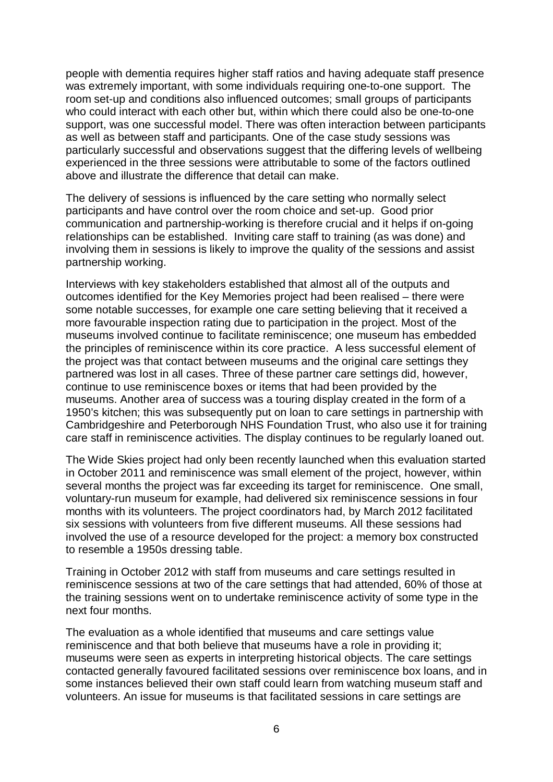people with dementia requires higher staff ratios and having adequate staff presence was extremely important, with some individuals requiring one-to-one support. The room set-up and conditions also influenced outcomes; small groups of participants who could interact with each other but, within which there could also be one-to-one support, was one successful model. There was often interaction between participants as well as between staff and participants. One of the case study sessions was particularly successful and observations suggest that the differing levels of wellbeing experienced in the three sessions were attributable to some of the factors outlined above and illustrate the difference that detail can make.

The delivery of sessions is influenced by the care setting who normally select participants and have control over the room choice and set-up. Good prior communication and partnership-working is therefore crucial and it helps if on-going relationships can be established. Inviting care staff to training (as was done) and involving them in sessions is likely to improve the quality of the sessions and assist partnership working.

Interviews with key stakeholders established that almost all of the outputs and outcomes identified for the Key Memories project had been realised – there were some notable successes, for example one care setting believing that it received a more favourable inspection rating due to participation in the project. Most of the museums involved continue to facilitate reminiscence; one museum has embedded the principles of reminiscence within its core practice. A less successful element of the project was that contact between museums and the original care settings they partnered was lost in all cases. Three of these partner care settings did, however, continue to use reminiscence boxes or items that had been provided by the museums. Another area of success was a touring display created in the form of a 1950's kitchen; this was subsequently put on loan to care settings in partnership with Cambridgeshire and Peterborough NHS Foundation Trust, who also use it for training care staff in reminiscence activities. The display continues to be regularly loaned out.

The Wide Skies project had only been recently launched when this evaluation started in October 2011 and reminiscence was small element of the project, however, within several months the project was far exceeding its target for reminiscence. One small, voluntary-run museum for example, had delivered six reminiscence sessions in four months with its volunteers. The project coordinators had, by March 2012 facilitated six sessions with volunteers from five different museums. All these sessions had involved the use of a resource developed for the project: a memory box constructed to resemble a 1950s dressing table.

Training in October 2012 with staff from museums and care settings resulted in reminiscence sessions at two of the care settings that had attended, 60% of those at the training sessions went on to undertake reminiscence activity of some type in the next four months.

The evaluation as a whole identified that museums and care settings value reminiscence and that both believe that museums have a role in providing it; museums were seen as experts in interpreting historical objects. The care settings contacted generally favoured facilitated sessions over reminiscence box loans, and in some instances believed their own staff could learn from watching museum staff and volunteers. An issue for museums is that facilitated sessions in care settings are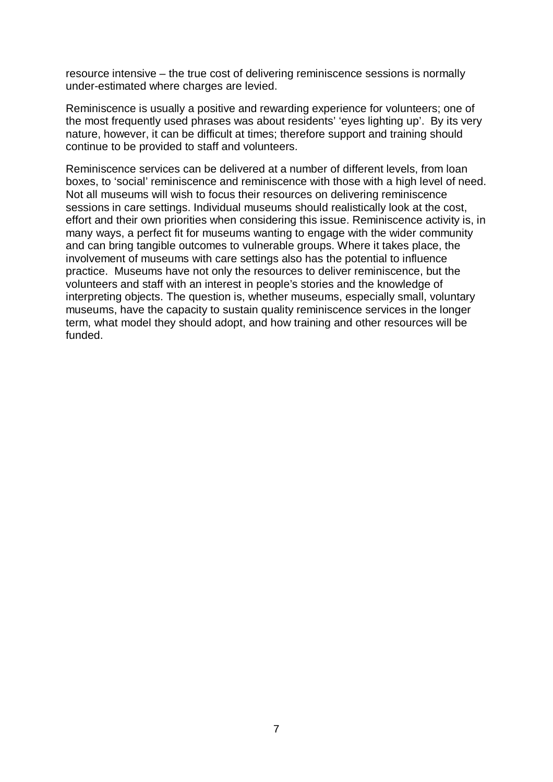resource intensive – the true cost of delivering reminiscence sessions is normally under-estimated where charges are levied.

Reminiscence is usually a positive and rewarding experience for volunteers; one of the most frequently used phrases was about residents' 'eyes lighting up'. By its very nature, however, it can be difficult at times; therefore support and training should continue to be provided to staff and volunteers.

Reminiscence services can be delivered at a number of different levels, from loan boxes, to 'social' reminiscence and reminiscence with those with a high level of need. Not all museums will wish to focus their resources on delivering reminiscence sessions in care settings. Individual museums should realistically look at the cost, effort and their own priorities when considering this issue. Reminiscence activity is, in many ways, a perfect fit for museums wanting to engage with the wider community and can bring tangible outcomes to vulnerable groups. Where it takes place, the involvement of museums with care settings also has the potential to influence practice. Museums have not only the resources to deliver reminiscence, but the volunteers and staff with an interest in people's stories and the knowledge of interpreting objects. The question is, whether museums, especially small, voluntary museums, have the capacity to sustain quality reminiscence services in the longer term, what model they should adopt, and how training and other resources will be funded.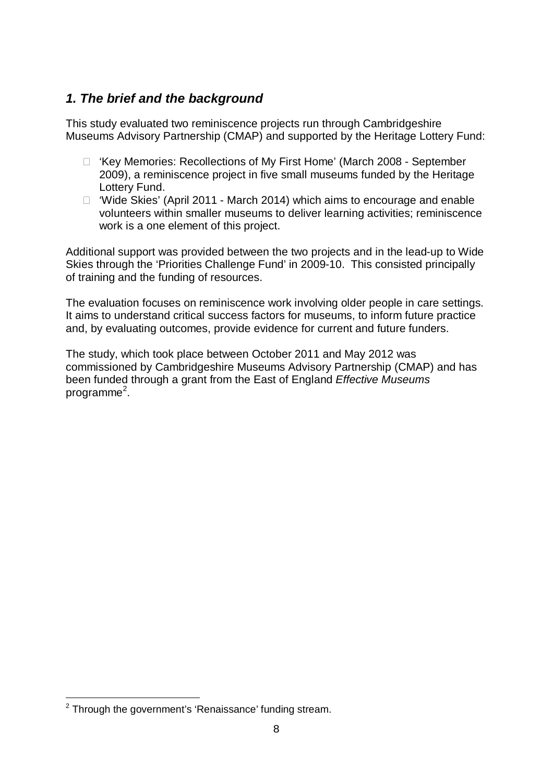# *1. The brief and the background*

This study evaluated two reminiscence projects run through Cambridgeshire Museums Advisory Partnership (CMAP) and supported by the Heritage Lottery Fund:

- □ 'Key Memories: Recollections of My First Home' (March 2008 September 2009), a reminiscence project in five small museums funded by the Heritage Lottery Fund.
- □ 'Wide Skies' (April 2011 March 2014) which aims to encourage and enable volunteers within smaller museums to deliver learning activities; reminiscence work is a one element of this project.

Additional support was provided between the two projects and in the lead-up to Wide Skies through the 'Priorities Challenge Fund' in 2009-10. This consisted principally of training and the funding of resources.

The evaluation focuses on reminiscence work involving older people in care settings. It aims to understand critical success factors for museums, to inform future practice and, by evaluating outcomes, provide evidence for current and future funders.

The study, which took place between October 2011 and May 2012 was commissioned by Cambridgeshire Museums Advisory Partnership (CMAP) and has been funded through a grant from the East of England *Effective Museums* programme<sup>2</sup>.

i

 $2$  Through the government's 'Renaissance' funding stream.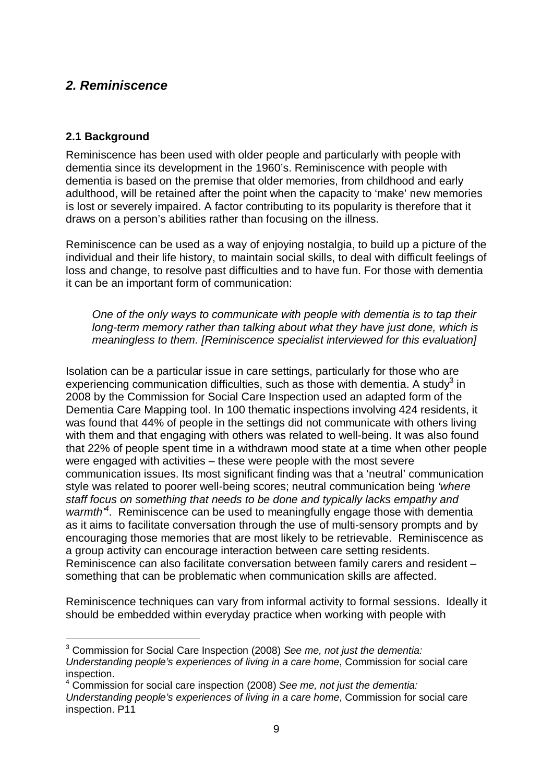# *2. Reminiscence*

## **2.1 Background**

Reminiscence has been used with older people and particularly with people with dementia since its development in the 1960's. Reminiscence with people with dementia is based on the premise that older memories, from childhood and early adulthood, will be retained after the point when the capacity to 'make' new memories is lost or severely impaired. A factor contributing to its popularity is therefore that it draws on a person's abilities rather than focusing on the illness.

Reminiscence can be used as a way of enjoying nostalgia, to build up a picture of the individual and their life history, to maintain social skills, to deal with difficult feelings of loss and change, to resolve past difficulties and to have fun. For those with dementia it can be an important form of communication:

*One of the only ways to communicate with people with dementia is to tap their long-term memory rather than talking about what they have just done, which is meaningless to them. [Reminiscence specialist interviewed for this evaluation]*

Isolation can be a particular issue in care settings, particularly for those who are experiencing communication difficulties, such as those with dementia. A study<sup>3</sup> in 2008 by the Commission for Social Care Inspection used an adapted form of the Dementia Care Mapping tool. In 100 thematic inspections involving 424 residents, it was found that 44% of people in the settings did not communicate with others living with them and that engaging with others was related to well-being. It was also found that 22% of people spent time in a withdrawn mood state at a time when other people were engaged with activities – these were people with the most severe communication issues. Its most significant finding was that a 'neutral' communication style was related to poorer well-being scores; neutral communication being *'where staff focus on something that needs to be done and typically lacks empathy and*  warmth<sup>4</sup>. Reminiscence can be used to meaningfully engage those with dementia as it aims to facilitate conversation through the use of multi-sensory prompts and by encouraging those memories that are most likely to be retrievable. Reminiscence as a group activity can encourage interaction between care setting residents. Reminiscence can also facilitate conversation between family carers and resident – something that can be problematic when communication skills are affected.

Reminiscence techniques can vary from informal activity to formal sessions. Ideally it should be embedded within everyday practice when working with people with

i <sup>3</sup> Commission for Social Care Inspection (2008) *See me, not just the dementia:* 

*Understanding people's experiences of living in a care home*, Commission for social care inspection.

<sup>4</sup> Commission for social care inspection (2008) *See me, not just the dementia:* 

*Understanding people's experiences of living in a care home*, Commission for social care inspection. P11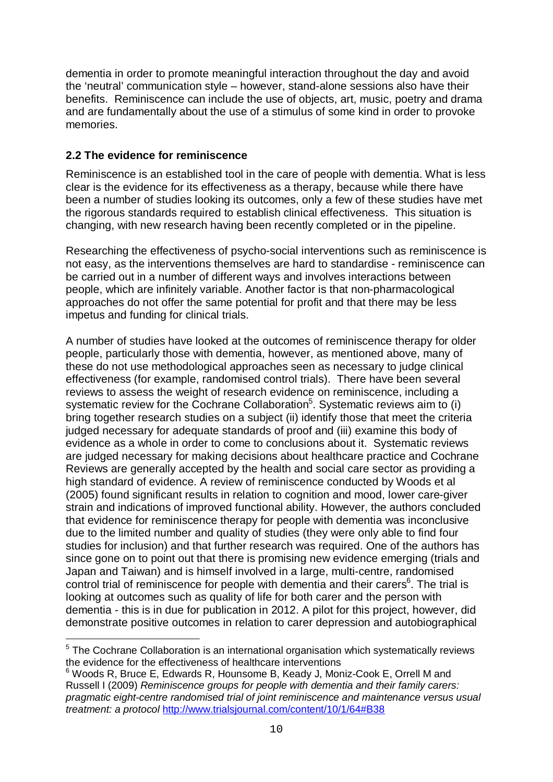dementia in order to promote meaningful interaction throughout the day and avoid the 'neutral' communication style – however, stand-alone sessions also have their benefits. Reminiscence can include the use of objects, art, music, poetry and drama and are fundamentally about the use of a stimulus of some kind in order to provoke memories.

## **2.2 The evidence for reminiscence**

i

Reminiscence is an established tool in the care of people with dementia. What is less clear is the evidence for its effectiveness as a therapy, because while there have been a number of studies looking its outcomes, only a few of these studies have met the rigorous standards required to establish clinical effectiveness. This situation is changing, with new research having been recently completed or in the pipeline.

Researching the effectiveness of psycho-social interventions such as reminiscence is not easy, as the interventions themselves are hard to standardise - reminiscence can be carried out in a number of different ways and involves interactions between people, which are infinitely variable. Another factor is that non-pharmacological approaches do not offer the same potential for profit and that there may be less impetus and funding for clinical trials.

A number of studies have looked at the outcomes of reminiscence therapy for older people, particularly those with dementia, however, as mentioned above, many of these do not use methodological approaches seen as necessary to judge clinical effectiveness (for example, randomised control trials). There have been several reviews to assess the weight of research evidence on reminiscence, including a systematic review for the Cochrane Collaboration<sup>5</sup>. Systematic reviews aim to (i) bring together research studies on a subject (ii) identify those that meet the criteria judged necessary for adequate standards of proof and (iii) examine this body of evidence as a whole in order to come to conclusions about it. Systematic reviews are judged necessary for making decisions about healthcare practice and Cochrane Reviews are generally accepted by the health and social care sector as providing a high standard of evidence. A review of reminiscence conducted by Woods et al (2005) found significant results in relation to cognition and mood, lower care-giver strain and indications of improved functional ability. However, the authors concluded that evidence for reminiscence therapy for people with dementia was inconclusive due to the limited number and quality of studies (they were only able to find four studies for inclusion) and that further research was required. One of the authors has since gone on to point out that there is promising new evidence emerging (trials and Japan and Taiwan) and is himself involved in a large, multi-centre, randomised control trial of reminiscence for people with dementia and their carers $6$ . The trial is looking at outcomes such as quality of life for both carer and the person with dementia - this is in due for publication in 2012. A pilot for this project, however, did demonstrate positive outcomes in relation to carer depression and autobiographical

 $5$  The Cochrane Collaboration is an international organisation which systematically reviews the evidence for the effectiveness of healthcare interventions

<sup>&</sup>lt;sup>6</sup> Woods R, Bruce E, Edwards R, Hounsome B, Keady J, Moniz-Cook E, Orrell M and Russell I (2009) *Reminiscence groups for people with dementia and their family carers: pragmatic eight-centre randomised trial of joint reminiscence and maintenance versus usual treatment: a protocol* http://www.trialsjournal.com/content/10/1/64#B38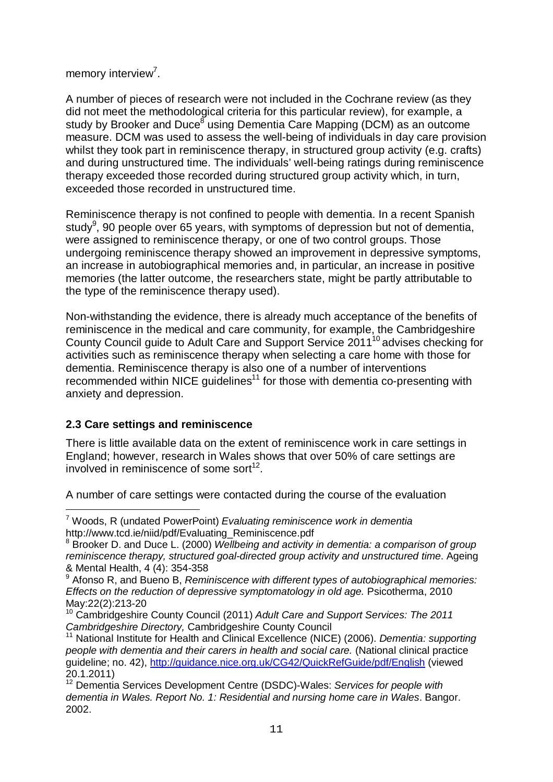memory interview<sup>7</sup>.

A number of pieces of research were not included in the Cochrane review (as they did not meet the methodological criteria for this particular review), for example, a study by Brooker and Duce<sup>8</sup> using Dementia Care Mapping (DCM) as an outcome measure. DCM was used to assess the well-being of individuals in day care provision whilst they took part in reminiscence therapy, in structured group activity (e.g. crafts) and during unstructured time. The individuals' well-being ratings during reminiscence therapy exceeded those recorded during structured group activity which, in turn, exceeded those recorded in unstructured time.

Reminiscence therapy is not confined to people with dementia. In a recent Spanish study<sup>9</sup>, 90 people over 65 years, with symptoms of depression but not of dementia, were assigned to reminiscence therapy, or one of two control groups. Those undergoing reminiscence therapy showed an improvement in depressive symptoms, an increase in autobiographical memories and, in particular, an increase in positive memories (the latter outcome, the researchers state, might be partly attributable to the type of the reminiscence therapy used).

Non-withstanding the evidence, there is already much acceptance of the benefits of reminiscence in the medical and care community, for example, the Cambridgeshire County Council guide to Adult Care and Support Service 2011<sup>10</sup> advises checking for activities such as reminiscence therapy when selecting a care home with those for dementia. Reminiscence therapy is also one of a number of interventions recommended within NICE quidelines<sup>11</sup> for those with dementia co-presenting with anxiety and depression.

## **2.3 Care settings and reminiscence**

There is little available data on the extent of reminiscence work in care settings in England; however, research in Wales shows that over 50% of care settings are involved in reminiscence of some sort $^{12}$ .

A number of care settings were contacted during the course of the evaluation

e<br>S <sup>7</sup> Woods, R (undated PowerPoint) *Evaluating reminiscence work in dementia* http://www.tcd.ie/niid/pdf/Evaluating\_Reminiscence.pdf

<sup>8</sup> Brooker D. and Duce L. (2000) *Wellbeing and activity in dementia: a comparison of group reminiscence therapy, structured goal-directed group activity and unstructured time*. Ageing & Mental Health, 4 (4): 354-358

<sup>9</sup> Afonso R, and Bueno B, *Reminiscence with different types of autobiographical memories: Effects on the reduction of depressive symptomatology in old age.* Psicotherma, 2010 May:22(2):213-20

<sup>10</sup> Cambridgeshire County Council (2011) *Adult Care and Support Services: The 2011 Cambridgeshire Directory,* Cambridgeshire County Council

<sup>11</sup> National Institute for Health and Clinical Excellence (NICE) (2006). *Dementia: supporting people with dementia and their carers in health and social care.* (National clinical practice guideline; no. 42), http://guidance.nice.org.uk/CG42/QuickRefGuide/pdf/English (viewed 20.1.2011)

<sup>12</sup> Dementia Services Development Centre (DSDC)-Wales: *Services for people with dementia in Wales. Report No. 1: Residential and nursing home care in Wales*. Bangor. 2002.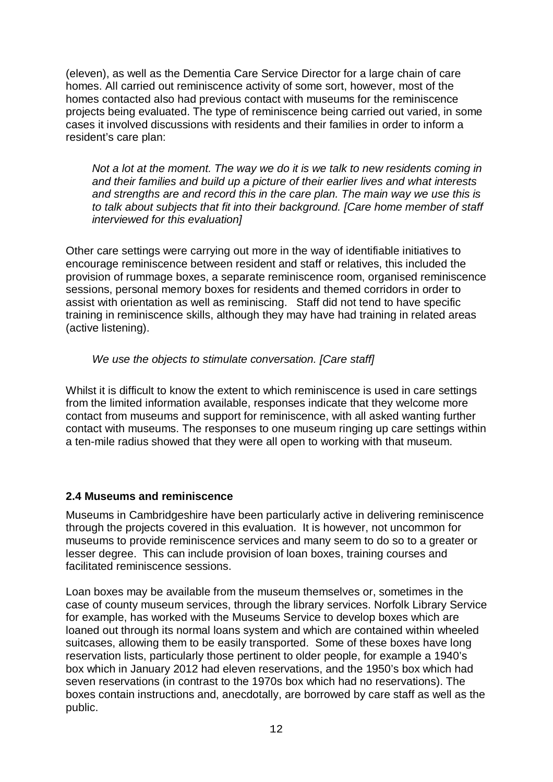(eleven), as well as the Dementia Care Service Director for a large chain of care homes. All carried out reminiscence activity of some sort, however, most of the homes contacted also had previous contact with museums for the reminiscence projects being evaluated. The type of reminiscence being carried out varied, in some cases it involved discussions with residents and their families in order to inform a resident's care plan:

*Not a lot at the moment. The way we do it is we talk to new residents coming in and their families and build up a picture of their earlier lives and what interests and strengths are and record this in the care plan. The main way we use this is to talk about subjects that fit into their background. [Care home member of staff interviewed for this evaluation]*

Other care settings were carrying out more in the way of identifiable initiatives to encourage reminiscence between resident and staff or relatives, this included the provision of rummage boxes, a separate reminiscence room, organised reminiscence sessions, personal memory boxes for residents and themed corridors in order to assist with orientation as well as reminiscing. Staff did not tend to have specific training in reminiscence skills, although they may have had training in related areas (active listening).

*We use the objects to stimulate conversation. [Care staff]*

Whilst it is difficult to know the extent to which reminiscence is used in care settings from the limited information available, responses indicate that they welcome more contact from museums and support for reminiscence, with all asked wanting further contact with museums. The responses to one museum ringing up care settings within a ten-mile radius showed that they were all open to working with that museum.

## **2.4 Museums and reminiscence**

Museums in Cambridgeshire have been particularly active in delivering reminiscence through the projects covered in this evaluation. It is however, not uncommon for museums to provide reminiscence services and many seem to do so to a greater or lesser degree. This can include provision of loan boxes, training courses and facilitated reminiscence sessions.

Loan boxes may be available from the museum themselves or, sometimes in the case of county museum services, through the library services. Norfolk Library Service for example, has worked with the Museums Service to develop boxes which are loaned out through its normal loans system and which are contained within wheeled suitcases, allowing them to be easily transported. Some of these boxes have long reservation lists, particularly those pertinent to older people, for example a 1940's box which in January 2012 had eleven reservations, and the 1950's box which had seven reservations (in contrast to the 1970s box which had no reservations). The boxes contain instructions and, anecdotally, are borrowed by care staff as well as the public.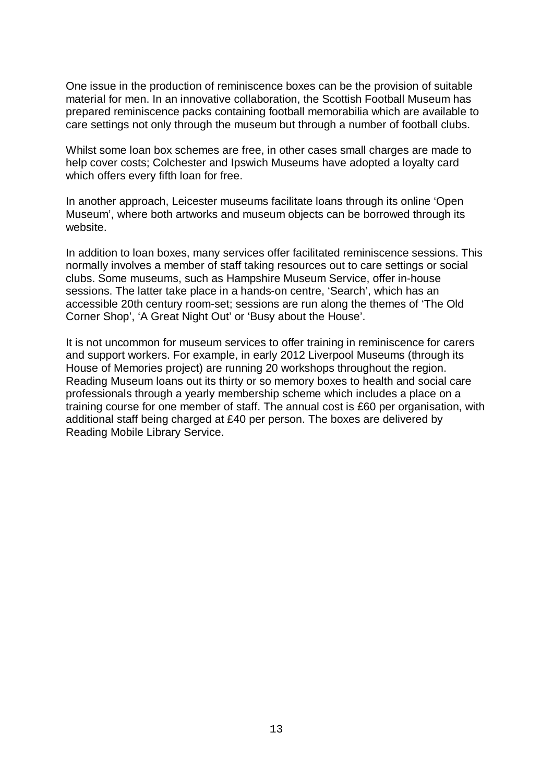One issue in the production of reminiscence boxes can be the provision of suitable material for men. In an innovative collaboration, the Scottish Football Museum has prepared reminiscence packs containing football memorabilia which are available to care settings not only through the museum but through a number of football clubs.

Whilst some loan box schemes are free, in other cases small charges are made to help cover costs; Colchester and Ipswich Museums have adopted a loyalty card which offers every fifth loan for free.

In another approach, Leicester museums facilitate loans through its online 'Open Museum', where both artworks and museum objects can be borrowed through its website.

In addition to loan boxes, many services offer facilitated reminiscence sessions. This normally involves a member of staff taking resources out to care settings or social clubs. Some museums, such as Hampshire Museum Service, offer in-house sessions. The latter take place in a hands-on centre, 'Search', which has an accessible 20th century room-set; sessions are run along the themes of 'The Old Corner Shop', 'A Great Night Out' or 'Busy about the House'.

It is not uncommon for museum services to offer training in reminiscence for carers and support workers. For example, in early 2012 Liverpool Museums (through its House of Memories project) are running 20 workshops throughout the region. Reading Museum loans out its thirty or so memory boxes to health and social care professionals through a yearly membership scheme which includes a place on a training course for one member of staff. The annual cost is £60 per organisation, with additional staff being charged at £40 per person. The boxes are delivered by Reading Mobile Library Service.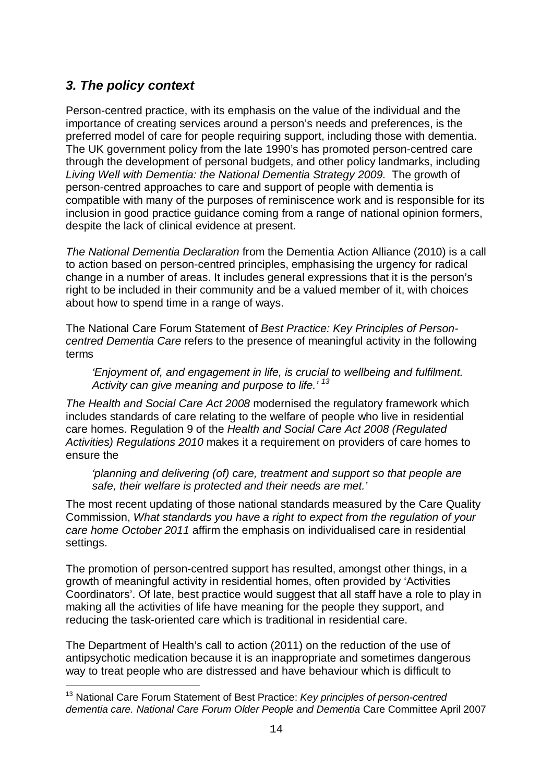# *3. The policy context*

Person-centred practice, with its emphasis on the value of the individual and the importance of creating services around a person's needs and preferences, is the preferred model of care for people requiring support, including those with dementia. The UK government policy from the late 1990's has promoted person-centred care through the development of personal budgets, and other policy landmarks, including *Living Well with Dementia: the National Dementia Strategy 2009.* The growth of person-centred approaches to care and support of people with dementia is compatible with many of the purposes of reminiscence work and is responsible for its inclusion in good practice guidance coming from a range of national opinion formers, despite the lack of clinical evidence at present.

*The National Dementia Declaration* from the Dementia Action Alliance (2010) is a call to action based on person-centred principles, emphasising the urgency for radical change in a number of areas. It includes general expressions that it is the person's right to be included in their community and be a valued member of it, with choices about how to spend time in a range of ways.

The National Care Forum Statement of *Best Practice: Key Principles of Personcentred Dementia Care* refers to the presence of meaningful activity in the following terms

*'Enjoyment of, and engagement in life, is crucial to wellbeing and fulfilment. Activity can give meaning and purpose to life.' <sup>13</sup>*

*The Health and Social Care Act 2008* modernised the regulatory framework which includes standards of care relating to the welfare of people who live in residential care homes. Regulation 9 of the *Health and Social Care Act 2008 (Regulated Activities) Regulations 2010* makes it a requirement on providers of care homes to ensure the

*'planning and delivering (of) care, treatment and support so that people are safe, their welfare is protected and their needs are met.'* 

The most recent updating of those national standards measured by the Care Quality Commission, *What standards you have a right to expect from the regulation of your care home October 2011* affirm the emphasis on individualised care in residential settings.

The promotion of person-centred support has resulted, amongst other things, in a growth of meaningful activity in residential homes, often provided by 'Activities Coordinators'. Of late, best practice would suggest that all staff have a role to play in making all the activities of life have meaning for the people they support, and reducing the task-oriented care which is traditional in residential care.

The Department of Health's call to action (2011) on the reduction of the use of antipsychotic medication because it is an inappropriate and sometimes dangerous way to treat people who are distressed and have behaviour which is difficult to

i <sup>13</sup> National Care Forum Statement of Best Practice: *Key principles of person-centred dementia care. National Care Forum Older People and Dementia* Care Committee April 2007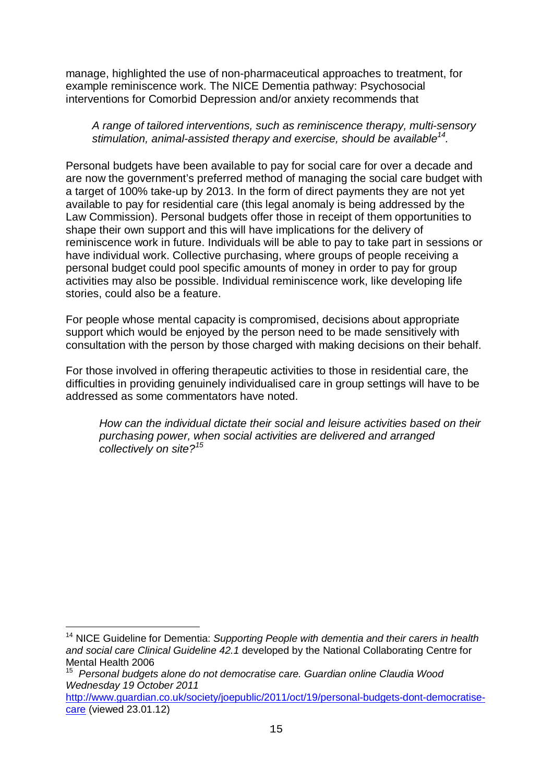manage, highlighted the use of non-pharmaceutical approaches to treatment, for example reminiscence work. The NICE Dementia pathway: Psychosocial interventions for Comorbid Depression and/or anxiety recommends that

### *A range of tailored interventions, such as reminiscence therapy, multi-sensory stimulation, animal-assisted therapy and exercise, should be available<sup>14</sup> .*

Personal budgets have been available to pay for social care for over a decade and are now the government's preferred method of managing the social care budget with a target of 100% take-up by 2013. In the form of direct payments they are not yet available to pay for residential care (this legal anomaly is being addressed by the Law Commission). Personal budgets offer those in receipt of them opportunities to shape their own support and this will have implications for the delivery of reminiscence work in future. Individuals will be able to pay to take part in sessions or have individual work. Collective purchasing, where groups of people receiving a personal budget could pool specific amounts of money in order to pay for group activities may also be possible. Individual reminiscence work, like developing life stories, could also be a feature.

For people whose mental capacity is compromised, decisions about appropriate support which would be enjoyed by the person need to be made sensitively with consultation with the person by those charged with making decisions on their behalf.

For those involved in offering therapeutic activities to those in residential care, the difficulties in providing genuinely individualised care in group settings will have to be addressed as some commentators have noted.

*How can the individual dictate their social and leisure activities based on their purchasing power, when social activities are delivered and arranged collectively on site?<sup>15</sup>*

i

<sup>14</sup> NICE Guideline for Dementia: *Supporting People with dementia and their carers in health and social care Clinical Guideline 42.1* developed by the National Collaborating Centre for Mental Health 2006

<sup>15</sup> *Personal budgets alone do not democratise care. Guardian online Claudia Wood Wednesday 19 October 2011* 

http://www.guardian.co.uk/society/joepublic/2011/oct/19/personal-budgets-dont-democratisecare (viewed 23.01.12)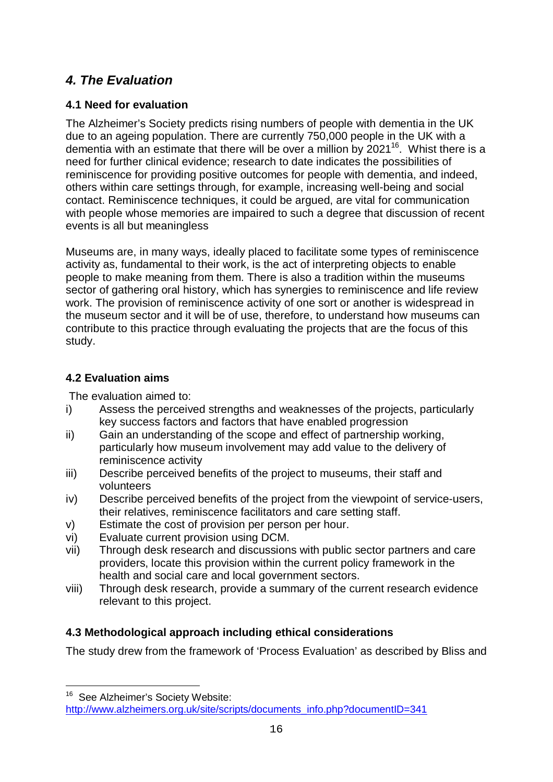# *4. The Evaluation*

## **4.1 Need for evaluation**

The Alzheimer's Society predicts rising numbers of people with dementia in the UK due to an ageing population. There are currently 750,000 people in the UK with a dementia with an estimate that there will be over a million by 2021<sup>16</sup>. Whist there is a need for further clinical evidence; research to date indicates the possibilities of reminiscence for providing positive outcomes for people with dementia, and indeed, others within care settings through, for example, increasing well-being and social contact. Reminiscence techniques, it could be argued, are vital for communication with people whose memories are impaired to such a degree that discussion of recent events is all but meaningless

Museums are, in many ways, ideally placed to facilitate some types of reminiscence activity as, fundamental to their work, is the act of interpreting objects to enable people to make meaning from them. There is also a tradition within the museums sector of gathering oral history, which has synergies to reminiscence and life review work. The provision of reminiscence activity of one sort or another is widespread in the museum sector and it will be of use, therefore, to understand how museums can contribute to this practice through evaluating the projects that are the focus of this study.

## **4.2 Evaluation aims**

i

The evaluation aimed to:

- i) Assess the perceived strengths and weaknesses of the projects, particularly key success factors and factors that have enabled progression
- ii) Gain an understanding of the scope and effect of partnership working, particularly how museum involvement may add value to the delivery of reminiscence activity
- iii) Describe perceived benefits of the project to museums, their staff and volunteers
- iv) Describe perceived benefits of the project from the viewpoint of service-users, their relatives, reminiscence facilitators and care setting staff.
- v) Estimate the cost of provision per person per hour.
- vi) Evaluate current provision using DCM.
- vii) Through desk research and discussions with public sector partners and care providers, locate this provision within the current policy framework in the health and social care and local government sectors.
- viii) Through desk research, provide a summary of the current research evidence relevant to this project.

## **4.3 Methodological approach including ethical considerations**

The study drew from the framework of 'Process Evaluation' as described by Bliss and

<sup>&</sup>lt;sup>16</sup> See Alzheimer's Society Website: http://www.alzheimers.org.uk/site/scripts/documents\_info.php?documentID=341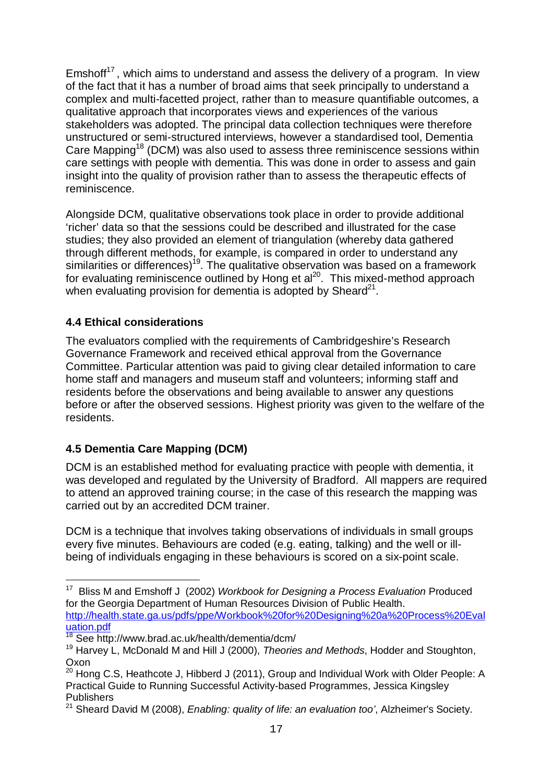Emshoff $17$ , which aims to understand and assess the delivery of a program. In view of the fact that it has a number of broad aims that seek principally to understand a complex and multi-facetted project, rather than to measure quantifiable outcomes, a qualitative approach that incorporates views and experiences of the various stakeholders was adopted. The principal data collection techniques were therefore unstructured or semi-structured interviews, however a standardised tool, Dementia Care Mapping<sup>18</sup> (DCM) was also used to assess three reminiscence sessions within care settings with people with dementia. This was done in order to assess and gain insight into the quality of provision rather than to assess the therapeutic effects of reminiscence.

Alongside DCM, qualitative observations took place in order to provide additional 'richer' data so that the sessions could be described and illustrated for the case studies; they also provided an element of triangulation (whereby data gathered through different methods, for example, is compared in order to understand any similarities or differences)<sup>19</sup>. The qualitative observation was based on a framework for evaluating reminiscence outlined by Hong et al<sup>20</sup>. This mixed-method approach when evaluating provision for dementia is adopted by Sheard $21$ .

## **4.4 Ethical considerations**

The evaluators complied with the requirements of Cambridgeshire's Research Governance Framework and received ethical approval from the Governance Committee. Particular attention was paid to giving clear detailed information to care home staff and managers and museum staff and volunteers; informing staff and residents before the observations and being available to answer any questions before or after the observed sessions. Highest priority was given to the welfare of the residents.

## **4.5 Dementia Care Mapping (DCM)**

i

DCM is an established method for evaluating practice with people with dementia, it was developed and regulated by the University of Bradford. All mappers are required to attend an approved training course; in the case of this research the mapping was carried out by an accredited DCM trainer.

DCM is a technique that involves taking observations of individuals in small groups every five minutes. Behaviours are coded (e.g. eating, talking) and the well or illbeing of individuals engaging in these behaviours is scored on a six-point scale.

<sup>17</sup> Bliss M and Emshoff J (2002) *Workbook for Designing a Process Evaluation* Produced for the Georgia Department of Human Resources Division of Public Health. http://health.state.ga.us/pdfs/ppe/Workbook%20for%20Designing%20a%20Process%20Eval uation.pdf

<sup>18</sup> See http://www.brad.ac.uk/health/dementia/dcm/

<sup>19</sup> Harvey L, McDonald M and Hill J (2000), *Theories and Methods*, Hodder and Stoughton, Oxon

<sup>&</sup>lt;sup>20</sup> Hong C.S, Heathcote J, Hibberd J (2011), Group and Individual Work with Older People: A Practical Guide to Running Successful Activity-based Programmes, Jessica Kingsley Publishers

<sup>21</sup> Sheard David M (2008), *Enabling: quality of life: an evaluation too'*, Alzheimer's Society.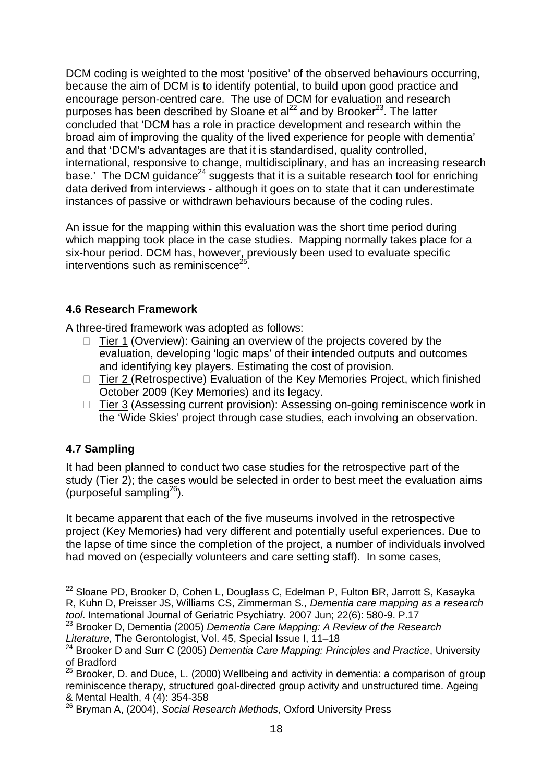DCM coding is weighted to the most 'positive' of the observed behaviours occurring, because the aim of DCM is to identify potential, to build upon good practice and encourage person-centred care. The use of DCM for evaluation and research purposes has been described by Sloane et al<sup>22</sup> and by Brooker<sup>23</sup>. The latter concluded that 'DCM has a role in practice development and research within the broad aim of improving the quality of the lived experience for people with dementia' and that 'DCM's advantages are that it is standardised, quality controlled, international, responsive to change, multidisciplinary, and has an increasing research base.' The DCM guidance<sup>24</sup> suggests that it is a suitable research tool for enriching data derived from interviews - although it goes on to state that it can underestimate instances of passive or withdrawn behaviours because of the coding rules.

An issue for the mapping within this evaluation was the short time period during which mapping took place in the case studies. Mapping normally takes place for a six-hour period. DCM has, however, previously been used to evaluate specific interventions such as reminiscence<sup>2</sup> .

## **4.6 Research Framework**

A three-tired framework was adopted as follows:

- $\Box$  Tier 1 (Overview): Gaining an overview of the projects covered by the evaluation, developing 'logic maps' of their intended outputs and outcomes and identifying key players. Estimating the cost of provision.
- □ Tier 2 (Retrospective) Evaluation of the Key Memories Project, which finished October 2009 (Key Memories) and its legacy.
- □ Tier 3 (Assessing current provision): Assessing on-going reminiscence work in the 'Wide Skies' project through case studies, each involving an observation.

## **4.7 Sampling**

i

It had been planned to conduct two case studies for the retrospective part of the study (Tier 2); the cases would be selected in order to best meet the evaluation aims (purposeful sampling $^{26}$ ).

It became apparent that each of the five museums involved in the retrospective project (Key Memories) had very different and potentially useful experiences. Due to the lapse of time since the completion of the project, a number of individuals involved had moved on (especially volunteers and care setting staff). In some cases,

<sup>&</sup>lt;sup>22</sup> Sloane PD, Brooker D, Cohen L, Douglass C, Edelman P, Fulton BR, Jarrott S, Kasayka R, Kuhn D, Preisser JS, Williams CS, Zimmerman S*., Dementia care mapping as a research tool*. International Journal of Geriatric Psychiatry. 2007 Jun; 22(6): 580-9. P.17

<sup>23</sup> Brooker D, Dementia (2005) *Dementia Care Mapping: A Review of the Research Literature*, The Gerontologist, Vol. 45, Special Issue I, 11–18

<sup>24</sup> Brooker D and Surr C (2005) *Dementia Care Mapping: Principles and Practice*, University of Bradford

<sup>&</sup>lt;sup>25</sup> Brooker, D. and Duce, L. (2000) Wellbeing and activity in dementia: a comparison of group reminiscence therapy, structured goal-directed group activity and unstructured time. Ageing & Mental Health, 4 (4): 354-358

<sup>26</sup> Bryman A, (2004), *Social Research Methods*, Oxford University Press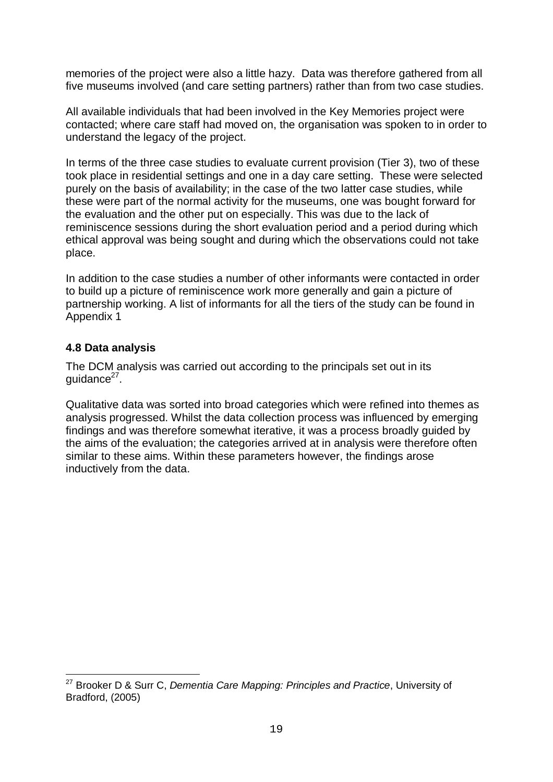memories of the project were also a little hazy. Data was therefore gathered from all five museums involved (and care setting partners) rather than from two case studies.

All available individuals that had been involved in the Key Memories project were contacted; where care staff had moved on, the organisation was spoken to in order to understand the legacy of the project.

In terms of the three case studies to evaluate current provision (Tier 3), two of these took place in residential settings and one in a day care setting. These were selected purely on the basis of availability; in the case of the two latter case studies, while these were part of the normal activity for the museums, one was bought forward for the evaluation and the other put on especially. This was due to the lack of reminiscence sessions during the short evaluation period and a period during which ethical approval was being sought and during which the observations could not take place.

In addition to the case studies a number of other informants were contacted in order to build up a picture of reminiscence work more generally and gain a picture of partnership working. A list of informants for all the tiers of the study can be found in Appendix 1

## **4.8 Data analysis**

i

The DCM analysis was carried out according to the principals set out in its guidance<sup>27</sup>.

Qualitative data was sorted into broad categories which were refined into themes as analysis progressed. Whilst the data collection process was influenced by emerging findings and was therefore somewhat iterative, it was a process broadly guided by the aims of the evaluation; the categories arrived at in analysis were therefore often similar to these aims. Within these parameters however, the findings arose inductively from the data.

<sup>27</sup> Brooker D & Surr C, *Dementia Care Mapping: Principles and Practice*, University of Bradford, (2005)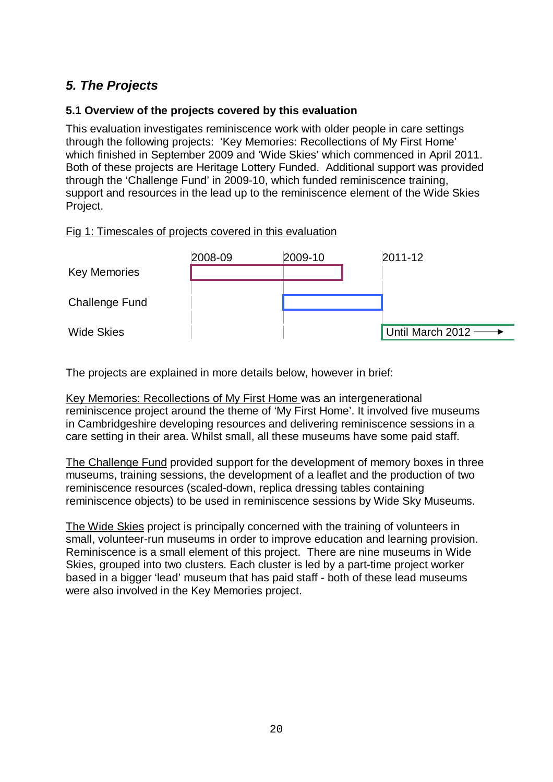# *5. The Projects*

## **5.1 Overview of the projects covered by this evaluation**

This evaluation investigates reminiscence work with older people in care settings through the following projects: 'Key Memories: Recollections of My First Home' which finished in September 2009 and 'Wide Skies' which commenced in April 2011. Both of these projects are Heritage Lottery Funded. Additional support was provided through the 'Challenge Fund' in 2009-10, which funded reminiscence training, support and resources in the lead up to the reminiscence element of the Wide Skies Project.

### Fig 1: Timescales of projects covered in this evaluation



The projects are explained in more details below, however in brief:

Key Memories: Recollections of My First Home was an intergenerational reminiscence project around the theme of 'My First Home'. It involved five museums in Cambridgeshire developing resources and delivering reminiscence sessions in a care setting in their area. Whilst small, all these museums have some paid staff.

The Challenge Fund provided support for the development of memory boxes in three museums, training sessions, the development of a leaflet and the production of two reminiscence resources (scaled-down, replica dressing tables containing reminiscence objects) to be used in reminiscence sessions by Wide Sky Museums.

The Wide Skies project is principally concerned with the training of volunteers in small, volunteer-run museums in order to improve education and learning provision. Reminiscence is a small element of this project. There are nine museums in Wide Skies, grouped into two clusters. Each cluster is led by a part-time project worker based in a bigger 'lead' museum that has paid staff - both of these lead museums were also involved in the Key Memories project.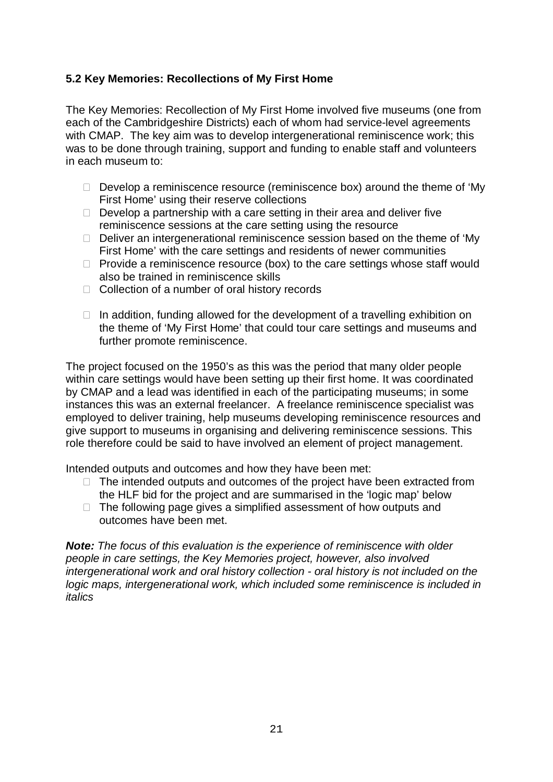## **5.2 Key Memories: Recollections of My First Home**

The Key Memories: Recollection of My First Home involved five museums (one from each of the Cambridgeshire Districts) each of whom had service-level agreements with CMAP. The key aim was to develop intergenerational reminiscence work; this was to be done through training, support and funding to enable staff and volunteers in each museum to:

- $\Box$  Develop a reminiscence resource (reminiscence box) around the theme of 'My First Home' using their reserve collections
- $\Box$  Develop a partnership with a care setting in their area and deliver five reminiscence sessions at the care setting using the resource
- $\Box$  Deliver an intergenerational reminiscence session based on the theme of 'My First Home' with the care settings and residents of newer communities
- $\Box$  Provide a reminiscence resource (box) to the care settings whose staff would also be trained in reminiscence skills
- $\Box$  Collection of a number of oral history records
- $\Box$  In addition, funding allowed for the development of a travelling exhibition on the theme of 'My First Home' that could tour care settings and museums and further promote reminiscence.

The project focused on the 1950's as this was the period that many older people within care settings would have been setting up their first home. It was coordinated by CMAP and a lead was identified in each of the participating museums; in some instances this was an external freelancer. A freelance reminiscence specialist was employed to deliver training, help museums developing reminiscence resources and give support to museums in organising and delivering reminiscence sessions. This role therefore could be said to have involved an element of project management.

Intended outputs and outcomes and how they have been met:

- $\Box$  The intended outputs and outcomes of the project have been extracted from the HLF bid for the project and are summarised in the 'logic map' below
- $\Box$  The following page gives a simplified assessment of how outputs and outcomes have been met.

*Note: The focus of this evaluation is the experience of reminiscence with older people in care settings, the Key Memories project, however, also involved intergenerational work and oral history collection - oral history is not included on the logic maps, intergenerational work, which included some reminiscence is included in italics*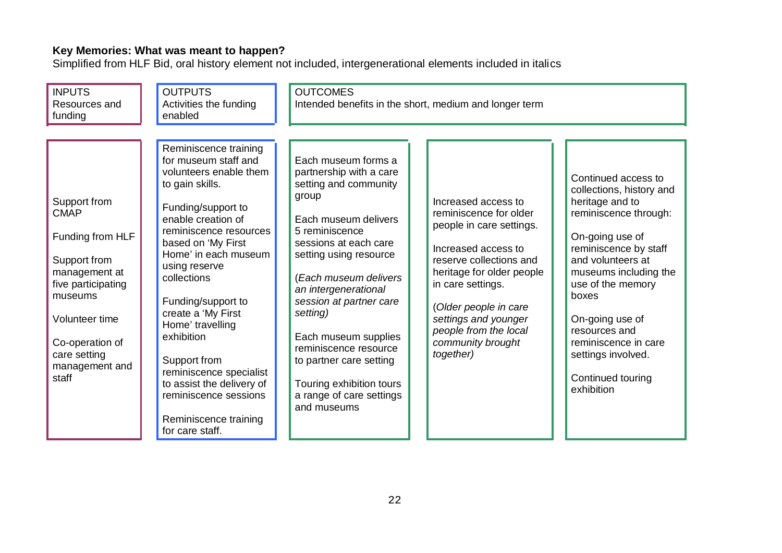#### **Key Memories: What was meant to happen?**

Simplified from HLF Bid, oral history element not included, intergenerational elements included in italics

| <b>INPUTS</b><br>Resources and<br>funding                                                                                                                                                         | <b>OUTPUTS</b><br>Activities the funding<br>enabled                                                                                                                                                                                                                                                                                                                                                                                                                       | <b>OUTCOMES</b>                                                                                                                                                                                                                                                                                                                                                                                                          | Intended benefits in the short, medium and longer term                                                                                                                                                                                                                                    |                                                                                                                                                                                                                                                                                                                                          |
|---------------------------------------------------------------------------------------------------------------------------------------------------------------------------------------------------|---------------------------------------------------------------------------------------------------------------------------------------------------------------------------------------------------------------------------------------------------------------------------------------------------------------------------------------------------------------------------------------------------------------------------------------------------------------------------|--------------------------------------------------------------------------------------------------------------------------------------------------------------------------------------------------------------------------------------------------------------------------------------------------------------------------------------------------------------------------------------------------------------------------|-------------------------------------------------------------------------------------------------------------------------------------------------------------------------------------------------------------------------------------------------------------------------------------------|------------------------------------------------------------------------------------------------------------------------------------------------------------------------------------------------------------------------------------------------------------------------------------------------------------------------------------------|
| Support from<br><b>CMAP</b><br>Funding from HLF<br>Support from<br>management at<br>five participating<br>museums<br>Volunteer time<br>Co-operation of<br>care setting<br>management and<br>staff | Reminiscence training<br>for museum staff and<br>volunteers enable them<br>to gain skills.<br>Funding/support to<br>enable creation of<br>reminiscence resources<br>based on 'My First<br>Home' in each museum<br>using reserve<br>collections<br>Funding/support to<br>create a 'My First<br>Home' travelling<br>exhibition<br>Support from<br>reminiscence specialist<br>to assist the delivery of<br>reminiscence sessions<br>Reminiscence training<br>for care staff. | Each museum forms a<br>partnership with a care<br>setting and community<br>group<br>Each museum delivers<br>5 reminiscence<br>sessions at each care<br>setting using resource<br>(Each museum delivers<br>an intergenerational<br>session at partner care<br>setting)<br>Each museum supplies<br>reminiscence resource<br>to partner care setting<br>Touring exhibition tours<br>a range of care settings<br>and museums | Increased access to<br>reminiscence for older<br>people in care settings.<br>Increased access to<br>reserve collections and<br>heritage for older people<br>in care settings.<br>(Older people in care<br>settings and younger<br>people from the local<br>community brought<br>together) | Continued access to<br>collections, history and<br>heritage and to<br>reminiscence through:<br>On-going use of<br>reminiscence by staff<br>and volunteers at<br>museums including the<br>use of the memory<br>boxes<br>On-going use of<br>resources and<br>reminiscence in care<br>settings involved.<br>Continued touring<br>exhibition |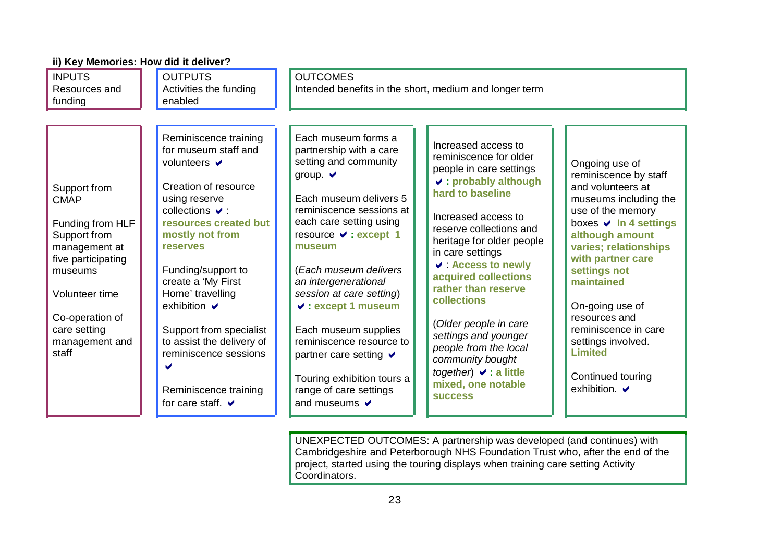| ii) Key Memories: How did it deliver?                                                                                                                                                             |                                                                                                                                                                                                                                                                                                                                                                                                                               |                                                                                                                                                                                                                                                                                                                                                                                                                                                                                        |                                                                                                                                                                                                                                                                                                                                                                                                                                                                                                |                                                                                                                                                                                                                                                                                                                                                                                          |
|---------------------------------------------------------------------------------------------------------------------------------------------------------------------------------------------------|-------------------------------------------------------------------------------------------------------------------------------------------------------------------------------------------------------------------------------------------------------------------------------------------------------------------------------------------------------------------------------------------------------------------------------|----------------------------------------------------------------------------------------------------------------------------------------------------------------------------------------------------------------------------------------------------------------------------------------------------------------------------------------------------------------------------------------------------------------------------------------------------------------------------------------|------------------------------------------------------------------------------------------------------------------------------------------------------------------------------------------------------------------------------------------------------------------------------------------------------------------------------------------------------------------------------------------------------------------------------------------------------------------------------------------------|------------------------------------------------------------------------------------------------------------------------------------------------------------------------------------------------------------------------------------------------------------------------------------------------------------------------------------------------------------------------------------------|
| <b>INPUTS</b><br>Resources and<br>funding                                                                                                                                                         | <b>OUTPUTS</b><br>Activities the funding<br>enabled                                                                                                                                                                                                                                                                                                                                                                           | <b>OUTCOMES</b><br>Intended benefits in the short, medium and longer term                                                                                                                                                                                                                                                                                                                                                                                                              |                                                                                                                                                                                                                                                                                                                                                                                                                                                                                                |                                                                                                                                                                                                                                                                                                                                                                                          |
| Support from<br><b>CMAP</b><br>Funding from HLF<br>Support from<br>management at<br>five participating<br>museums<br>Volunteer time<br>Co-operation of<br>care setting<br>management and<br>staff | Reminiscence training<br>for museum staff and<br>volunteers <b>✓</b><br>Creation of resource<br>using reserve<br>collections $\vee$ :<br>resources created but<br>mostly not from<br><b>reserves</b><br>Funding/support to<br>create a 'My First<br>Home' travelling<br>exhibition $\vee$<br>Support from specialist<br>to assist the delivery of<br>reminiscence sessions<br>Reminiscence training<br>for care staff. $\vee$ | Each museum forms a<br>partnership with a care<br>setting and community<br>group. $\vee$<br>Each museum delivers 5<br>reminiscence sessions at<br>each care setting using<br>resource v : except 1<br>museum<br>(Each museum delivers<br>an intergenerational<br>session at care setting)<br>$\vee$ : except 1 museum<br>Each museum supplies<br>reminiscence resource to<br>partner care setting $\vee$<br>Touring exhibition tours a<br>range of care settings<br>and museums $\vee$ | Increased access to<br>reminiscence for older<br>people in care settings<br>$\vee$ : probably although<br>hard to baseline<br>Increased access to<br>reserve collections and<br>heritage for older people<br>in care settings<br><b>↓ : Access to newly</b><br>acquired collections<br>rather than reserve<br>collections<br>(Older people in care<br>settings and younger<br>people from the local<br>community bought<br>together) $\vee$ : a little<br>mixed, one notable<br><b>SUCCESS</b> | Ongoing use of<br>reminiscence by staff<br>and volunteers at<br>museums including the<br>use of the memory<br>boxes <b>V</b> In 4 settings<br>although amount<br>varies; relationships<br>with partner care<br>settings not<br>maintained<br>On-going use of<br>resources and<br>reminiscence in care<br>settings involved.<br><b>Limited</b><br>Continued touring<br>exhibition. $\vee$ |

UNEXPECTED OUTCOMES: A partnership was developed (and continues) with Cambridgeshire and Peterborough NHS Foundation Trust who, after the end of the project, started using the touring displays when training care setting Activity Coordinators.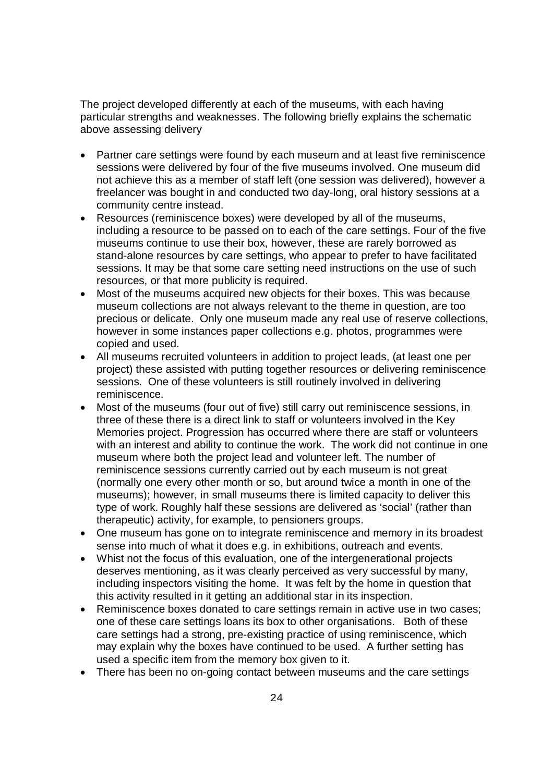The project developed differently at each of the museums, with each having particular strengths and weaknesses. The following briefly explains the schematic above assessing delivery

- Partner care settings were found by each museum and at least five reminiscence sessions were delivered by four of the five museums involved. One museum did not achieve this as a member of staff left (one session was delivered), however a freelancer was bought in and conducted two day-long, oral history sessions at a community centre instead.
- Resources (reminiscence boxes) were developed by all of the museums, including a resource to be passed on to each of the care settings. Four of the five museums continue to use their box, however, these are rarely borrowed as stand-alone resources by care settings, who appear to prefer to have facilitated sessions. It may be that some care setting need instructions on the use of such resources, or that more publicity is required.
- Most of the museums acquired new objects for their boxes. This was because museum collections are not always relevant to the theme in question, are too precious or delicate. Only one museum made any real use of reserve collections, however in some instances paper collections e.g. photos, programmes were copied and used.
- All museums recruited volunteers in addition to project leads, (at least one per project) these assisted with putting together resources or delivering reminiscence sessions. One of these volunteers is still routinely involved in delivering reminiscence.
- Most of the museums (four out of five) still carry out reminiscence sessions, in three of these there is a direct link to staff or volunteers involved in the Key Memories project. Progression has occurred where there are staff or volunteers with an interest and ability to continue the work. The work did not continue in one museum where both the project lead and volunteer left. The number of reminiscence sessions currently carried out by each museum is not great (normally one every other month or so, but around twice a month in one of the museums); however, in small museums there is limited capacity to deliver this type of work. Roughly half these sessions are delivered as 'social' (rather than therapeutic) activity, for example, to pensioners groups.
- One museum has gone on to integrate reminiscence and memory in its broadest sense into much of what it does e.g. in exhibitions, outreach and events.
- Whist not the focus of this evaluation, one of the intergenerational projects deserves mentioning, as it was clearly perceived as very successful by many, including inspectors visiting the home. It was felt by the home in question that this activity resulted in it getting an additional star in its inspection.
- Reminiscence boxes donated to care settings remain in active use in two cases: one of these care settings loans its box to other organisations. Both of these care settings had a strong, pre-existing practice of using reminiscence, which may explain why the boxes have continued to be used. A further setting has used a specific item from the memory box given to it.
- There has been no on-going contact between museums and the care settings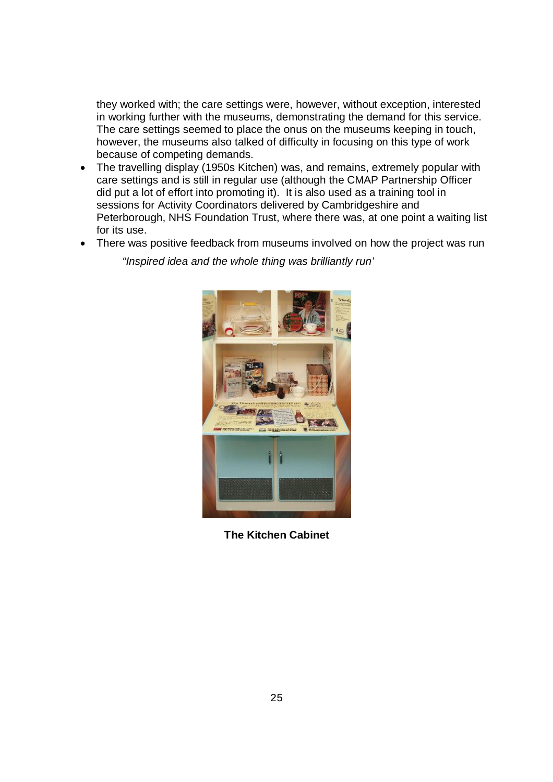they worked with; the care settings were, however, without exception, interested in working further with the museums, demonstrating the demand for this service. The care settings seemed to place the onus on the museums keeping in touch, however, the museums also talked of difficulty in focusing on this type of work because of competing demands.

- The travelling display (1950s Kitchen) was, and remains, extremely popular with care settings and is still in regular use (although the CMAP Partnership Officer did put a lot of effort into promoting it). It is also used as a training tool in sessions for Activity Coordinators delivered by Cambridgeshire and Peterborough, NHS Foundation Trust, where there was, at one point a waiting list for its use.
- There was positive feedback from museums involved on how the project was run

*"Inspired idea and the whole thing was brilliantly run'* 



**The Kitchen Cabinet**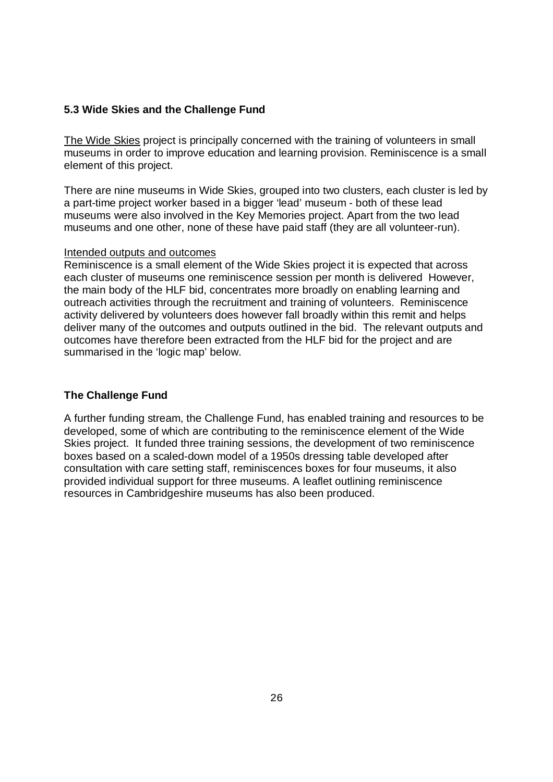#### **5.3 Wide Skies and the Challenge Fund**

The Wide Skies project is principally concerned with the training of volunteers in small museums in order to improve education and learning provision. Reminiscence is a small element of this project.

There are nine museums in Wide Skies, grouped into two clusters, each cluster is led by a part-time project worker based in a bigger 'lead' museum - both of these lead museums were also involved in the Key Memories project. Apart from the two lead museums and one other, none of these have paid staff (they are all volunteer-run).

#### Intended outputs and outcomes

Reminiscence is a small element of the Wide Skies project it is expected that across each cluster of museums one reminiscence session per month is delivered However, the main body of the HLF bid, concentrates more broadly on enabling learning and outreach activities through the recruitment and training of volunteers. Reminiscence activity delivered by volunteers does however fall broadly within this remit and helps deliver many of the outcomes and outputs outlined in the bid. The relevant outputs and outcomes have therefore been extracted from the HLF bid for the project and are summarised in the 'logic map' below.

### **The Challenge Fund**

A further funding stream, the Challenge Fund, has enabled training and resources to be developed, some of which are contributing to the reminiscence element of the Wide Skies project. It funded three training sessions, the development of two reminiscence boxes based on a scaled-down model of a 1950s dressing table developed after consultation with care setting staff, reminiscences boxes for four museums, it also provided individual support for three museums. A leaflet outlining reminiscence resources in Cambridgeshire museums has also been produced.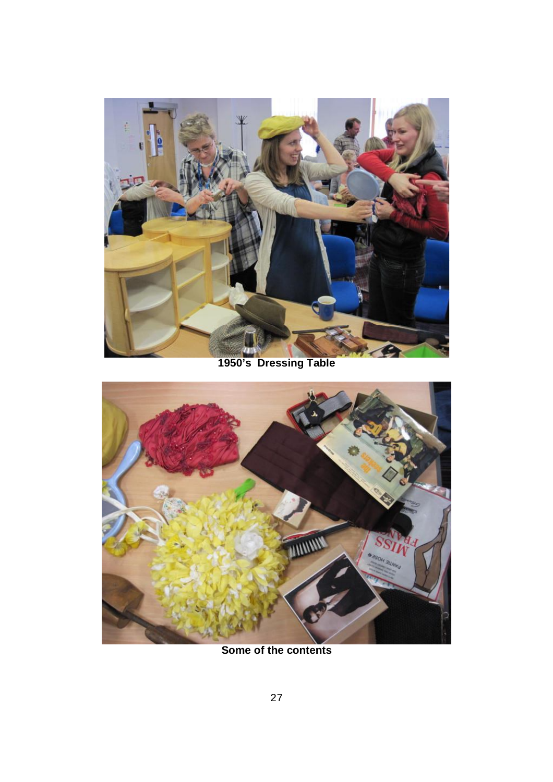



**Some of the contents**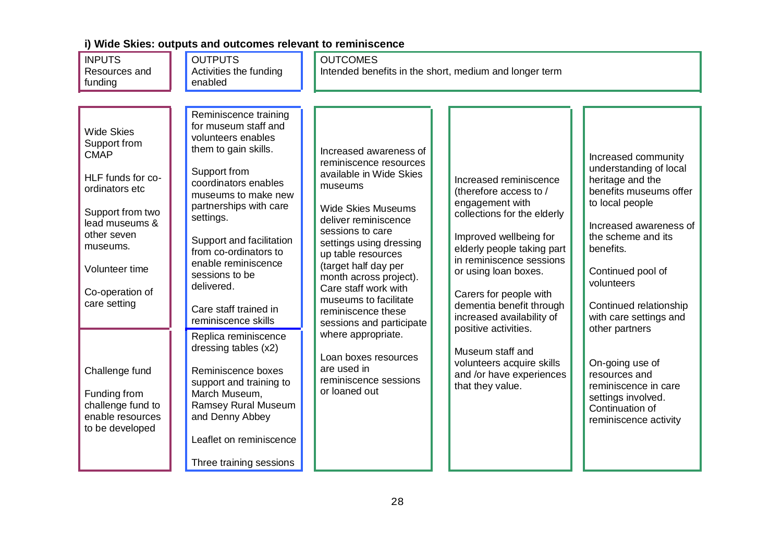| <b>INPUTS</b><br>Resources and<br>funding                                                                                                                                                                     | <b>OUTPUTS</b><br>Activities the funding<br>enabled                                                                                                                                                                                                                                                                                                           | <b>OUTCOMES</b><br>Intended benefits in the short, medium and longer term                                                                                                                                                                                                                                                                                             |                                                                                                                                                                                                                                                                                                                           |                                                                                                                                                                                                                                                                                      |
|---------------------------------------------------------------------------------------------------------------------------------------------------------------------------------------------------------------|---------------------------------------------------------------------------------------------------------------------------------------------------------------------------------------------------------------------------------------------------------------------------------------------------------------------------------------------------------------|-----------------------------------------------------------------------------------------------------------------------------------------------------------------------------------------------------------------------------------------------------------------------------------------------------------------------------------------------------------------------|---------------------------------------------------------------------------------------------------------------------------------------------------------------------------------------------------------------------------------------------------------------------------------------------------------------------------|--------------------------------------------------------------------------------------------------------------------------------------------------------------------------------------------------------------------------------------------------------------------------------------|
| <b>Wide Skies</b><br>Support from<br><b>CMAP</b><br>HLF funds for co-<br>ordinators etc<br>Support from two<br>lead museums &<br>other seven<br>museums.<br>Volunteer time<br>Co-operation of<br>care setting | Reminiscence training<br>for museum staff and<br>volunteers enables<br>them to gain skills.<br>Support from<br>coordinators enables<br>museums to make new<br>partnerships with care<br>settings.<br>Support and facilitation<br>from co-ordinators to<br>enable reminiscence<br>sessions to be<br>delivered.<br>Care staff trained in<br>reminiscence skills | Increased awareness of<br>reminiscence resources<br>available in Wide Skies<br>museums<br><b>Wide Skies Museums</b><br>deliver reminiscence<br>sessions to care<br>settings using dressing<br>up table resources<br>(target half day per<br>month across project).<br>Care staff work with<br>museums to facilitate<br>reminiscence these<br>sessions and participate | Increased reminiscence<br>(therefore access to /<br>engagement with<br>collections for the elderly<br>Improved wellbeing for<br>elderly people taking part<br>in reminiscence sessions<br>or using loan boxes.<br>Carers for people with<br>dementia benefit through<br>increased availability of<br>positive activities. | Increased community<br>understanding of local<br>heritage and the<br>benefits museums offer<br>to local people<br>Increased awareness of<br>the scheme and its<br>benefits.<br>Continued pool of<br>volunteers<br>Continued relationship<br>with care settings and<br>other partners |
| Challenge fund<br>Funding from<br>challenge fund to<br>enable resources<br>to be developed                                                                                                                    | Replica reminiscence<br>dressing tables (x2)<br>Reminiscence boxes<br>support and training to<br>March Museum,<br><b>Ramsey Rural Museum</b><br>and Denny Abbey<br>Leaflet on reminiscence<br>Three training sessions                                                                                                                                         | where appropriate.<br>Loan boxes resources<br>are used in<br>reminiscence sessions<br>or loaned out                                                                                                                                                                                                                                                                   | Museum staff and<br>volunteers acquire skills<br>and /or have experiences<br>that they value.                                                                                                                                                                                                                             | On-going use of<br>resources and<br>reminiscence in care<br>settings involved.<br>Continuation of<br>reminiscence activity                                                                                                                                                           |

### **i) Wide Skies: outputs and outcomes relevant to reminiscence**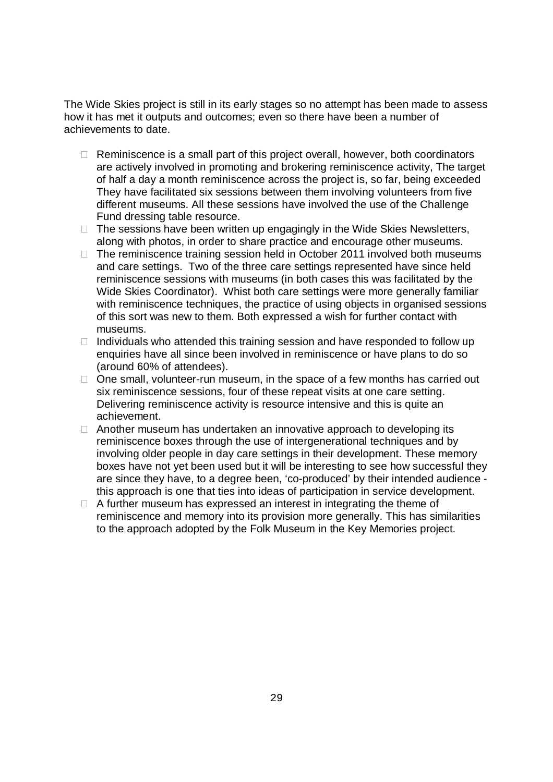The Wide Skies project is still in its early stages so no attempt has been made to assess how it has met it outputs and outcomes; even so there have been a number of achievements to date.

- $\Box$  Reminiscence is a small part of this project overall, however, both coordinators are actively involved in promoting and brokering reminiscence activity, The target of half a day a month reminiscence across the project is, so far, being exceeded They have facilitated six sessions between them involving volunteers from five different museums. All these sessions have involved the use of the Challenge Fund dressing table resource.
- $\Box$  The sessions have been written up engagingly in the Wide Skies Newsletters, along with photos, in order to share practice and encourage other museums.
- $\Box$  The reminiscence training session held in October 2011 involved both museums and care settings. Two of the three care settings represented have since held reminiscence sessions with museums (in both cases this was facilitated by the Wide Skies Coordinator). Whist both care settings were more generally familiar with reminiscence techniques, the practice of using objects in organised sessions of this sort was new to them. Both expressed a wish for further contact with museums.
- $\Box$  Individuals who attended this training session and have responded to follow up enquiries have all since been involved in reminiscence or have plans to do so (around 60% of attendees).
- $\Box$  One small, volunteer-run museum, in the space of a few months has carried out six reminiscence sessions, four of these repeat visits at one care setting. Delivering reminiscence activity is resource intensive and this is quite an achievement.
- $\Box$  Another museum has undertaken an innovative approach to developing its reminiscence boxes through the use of intergenerational techniques and by involving older people in day care settings in their development. These memory boxes have not yet been used but it will be interesting to see how successful they are since they have, to a degree been, 'co-produced' by their intended audience this approach is one that ties into ideas of participation in service development.
- $\Box$  A further museum has expressed an interest in integrating the theme of reminiscence and memory into its provision more generally. This has similarities to the approach adopted by the Folk Museum in the Key Memories project.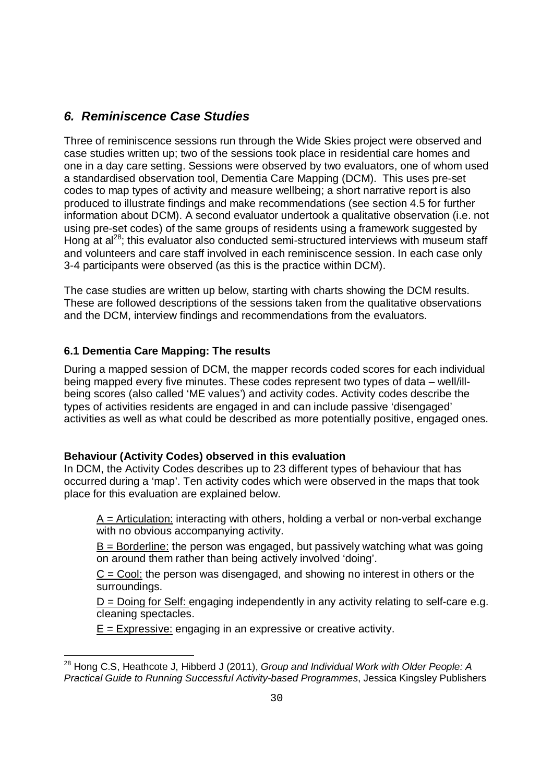## *6. Reminiscence Case Studies*

Three of reminiscence sessions run through the Wide Skies project were observed and case studies written up; two of the sessions took place in residential care homes and one in a day care setting. Sessions were observed by two evaluators, one of whom used a standardised observation tool, Dementia Care Mapping (DCM). This uses pre-set codes to map types of activity and measure wellbeing; a short narrative report is also produced to illustrate findings and make recommendations (see section 4.5 for further information about DCM). A second evaluator undertook a qualitative observation (i.e. not using pre-set codes) of the same groups of residents using a framework suggested by Hong at al<sup>28</sup>; this evaluator also conducted semi-structured interviews with museum staff and volunteers and care staff involved in each reminiscence session. In each case only 3-4 participants were observed (as this is the practice within DCM).

The case studies are written up below, starting with charts showing the DCM results. These are followed descriptions of the sessions taken from the qualitative observations and the DCM, interview findings and recommendations from the evaluators.

## **6.1 Dementia Care Mapping: The results**

L,

During a mapped session of DCM, the mapper records coded scores for each individual being mapped every five minutes. These codes represent two types of data – well/illbeing scores (also called 'ME values') and activity codes. Activity codes describe the types of activities residents are engaged in and can include passive 'disengaged' activities as well as what could be described as more potentially positive, engaged ones.

### **Behaviour (Activity Codes) observed in this evaluation**

In DCM, the Activity Codes describes up to 23 different types of behaviour that has occurred during a 'map'. Ten activity codes which were observed in the maps that took place for this evaluation are explained below.

A = Articulation: interacting with others, holding a verbal or non-verbal exchange with no obvious accompanying activity.

 $B =$  Borderline: the person was engaged, but passively watching what was going on around them rather than being actively involved 'doing'.

 $C =$  Cool: the person was disengaged, and showing no interest in others or the surroundings.

 $D =$  Doing for Self: engaging independently in any activity relating to self-care e.g. cleaning spectacles.

 $E =$  Expressive: engaging in an expressive or creative activity.

<sup>28</sup> Hong C.S, Heathcote J, Hibberd J (2011), *Group and Individual Work with Older People: A Practical Guide to Running Successful Activity-based Programmes*, Jessica Kingsley Publishers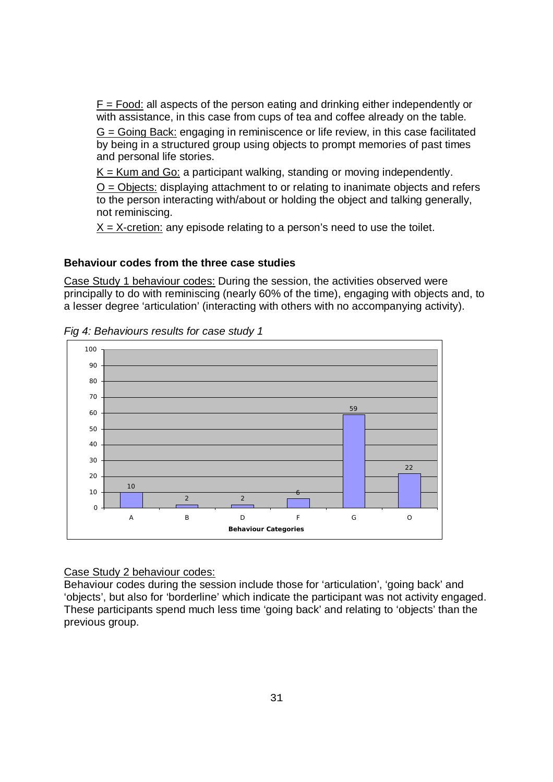$F = Food$ : all aspects of the person eating and drinking either independently or with assistance, in this case from cups of tea and coffee already on the table.

 $G =$  Going Back: engaging in reminiscence or life review, in this case facilitated by being in a structured group using objects to prompt memories of past times and personal life stories.

 $K =$  Kum and Go: a participant walking, standing or moving independently.

 $O = O$  bjects: displaying attachment to or relating to inanimate objects and refers to the person interacting with/about or holding the object and talking generally, not reminiscing.

 $X = X$ -cretion: any episode relating to a person's need to use the toilet.

#### **Behaviour codes from the three case studies**

Case Study 1 behaviour codes: During the session, the activities observed were principally to do with reminiscing (nearly 60% of the time), engaging with objects and, to a lesser degree 'articulation' (interacting with others with no accompanying activity).





## Case Study 2 behaviour codes:

Behaviour codes during the session include those for 'articulation', 'going back' and 'objects', but also for 'borderline' which indicate the participant was not activity engaged. These participants spend much less time 'going back' and relating to 'objects' than the previous group.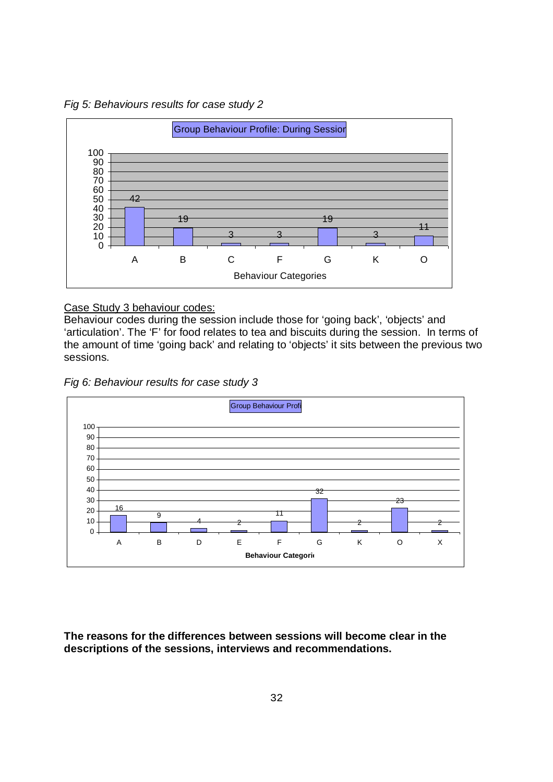*Fig 5: Behaviours results for case study 2*



Case Study 3 behaviour codes:

Behaviour codes during the session include those for 'going back', 'objects' and 'articulation'. The 'F' for food relates to tea and biscuits during the session. In terms of the amount of time 'going back' and relating to 'objects' it sits between the previous two sessions.





**The reasons for the differences between sessions will become clear in the descriptions of the sessions, interviews and recommendations.**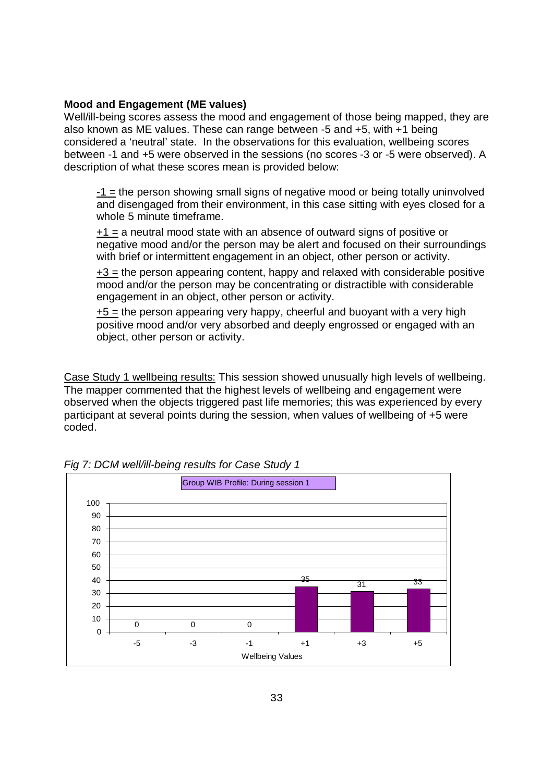#### **Mood and Engagement (ME values)**

Well/ill-being scores assess the mood and engagement of those being mapped, they are also known as ME values. These can range between -5 and +5, with +1 being considered a 'neutral' state. In the observations for this evaluation, wellbeing scores between -1 and +5 were observed in the sessions (no scores -3 or -5 were observed). A description of what these scores mean is provided below:

-1 = the person showing small signs of negative mood or being totally uninvolved and disengaged from their environment, in this case sitting with eyes closed for a whole 5 minute timeframe.

+1 = a neutral mood state with an absence of outward signs of positive or negative mood and/or the person may be alert and focused on their surroundings with brief or intermittent engagement in an object, other person or activity.

 $+3$  = the person appearing content, happy and relaxed with considerable positive mood and/or the person may be concentrating or distractible with considerable engagement in an object, other person or activity.

 $+5$  = the person appearing very happy, cheerful and buoyant with a very high positive mood and/or very absorbed and deeply engrossed or engaged with an object, other person or activity.

Case Study 1 wellbeing results: This session showed unusually high levels of wellbeing. The mapper commented that the highest levels of wellbeing and engagement were observed when the objects triggered past life memories; this was experienced by every participant at several points during the session, when values of wellbeing of +5 were coded.



*Fig 7: DCM well/ill-being results for Case Study 1*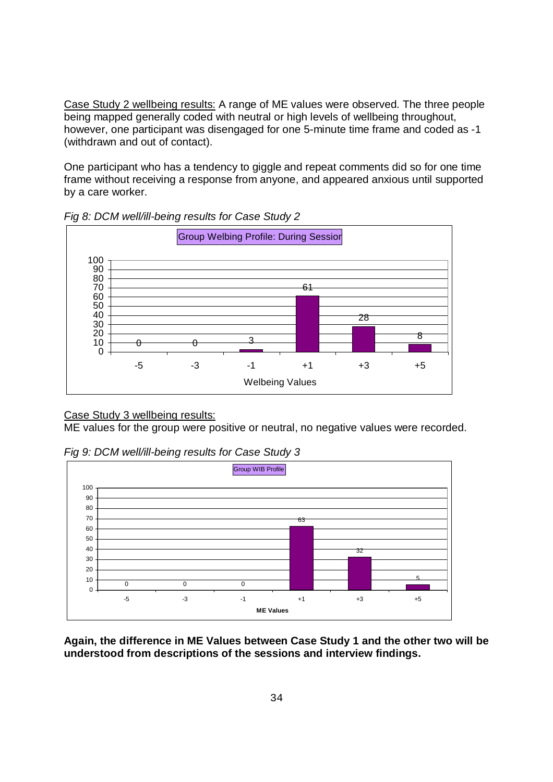Case Study 2 wellbeing results: A range of ME values were observed. The three people being mapped generally coded with neutral or high levels of wellbeing throughout, however, one participant was disengaged for one 5-minute time frame and coded as -1 (withdrawn and out of contact).

One participant who has a tendency to giggle and repeat comments did so for one time frame without receiving a response from anyone, and appeared anxious until supported by a care worker.



*Fig 8: DCM well/ill-being results for Case Study 2*

#### Case Study 3 wellbeing results:

ME values for the group were positive or neutral, no negative values were recorded.

*Fig 9: DCM well/ill-being results for Case Study 3*



**Again, the difference in ME Values between Case Study 1 and the other two will be understood from descriptions of the sessions and interview findings.**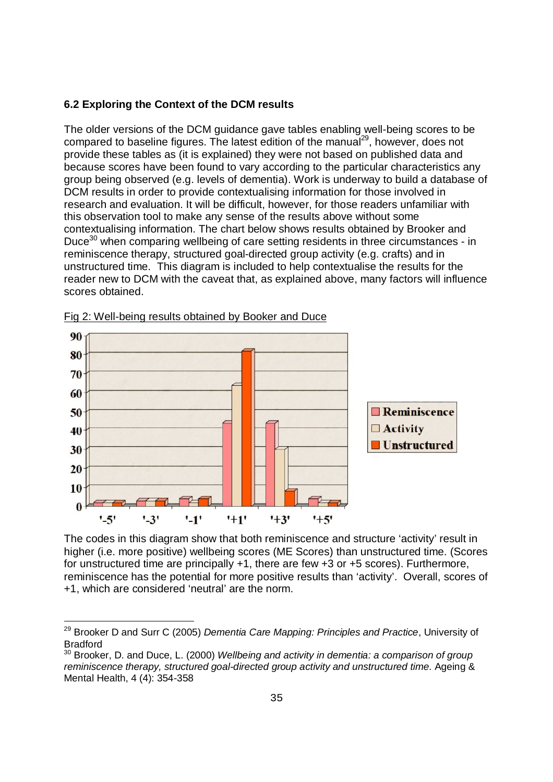#### **6.2 Exploring the Context of the DCM results**

The older versions of the DCM guidance gave tables enabling well-being scores to be compared to baseline figures. The latest edition of the manual<sup>29</sup>, however, does not provide these tables as (it is explained) they were not based on published data and because scores have been found to vary according to the particular characteristics any group being observed (e.g. levels of dementia). Work is underway to build a database of DCM results in order to provide contextualising information for those involved in research and evaluation. It will be difficult, however, for those readers unfamiliar with this observation tool to make any sense of the results above without some contextualising information. The chart below shows results obtained by Brooker and Duce<sup>30</sup> when comparing wellbeing of care setting residents in three circumstances - in reminiscence therapy, structured goal-directed group activity (e.g. crafts) and in unstructured time. This diagram is included to help contextualise the results for the reader new to DCM with the caveat that, as explained above, many factors will influence scores obtained.



Fig 2: Well-being results obtained by Booker and Duce

L,

The codes in this diagram show that both reminiscence and structure 'activity' result in higher (i.e. more positive) wellbeing scores (ME Scores) than unstructured time. (Scores for unstructured time are principally +1, there are few +3 or +5 scores). Furthermore, reminiscence has the potential for more positive results than 'activity'. Overall, scores of +1, which are considered 'neutral' are the norm.

<sup>29</sup> Brooker D and Surr C (2005) *Dementia Care Mapping: Principles and Practice*, University of Bradford

<sup>30</sup> Brooker, D. and Duce, L. (2000) *Wellbeing and activity in dementia: a comparison of group reminiscence therapy, structured goal-directed group activity and unstructured time*. Ageing & Mental Health, 4 (4): 354-358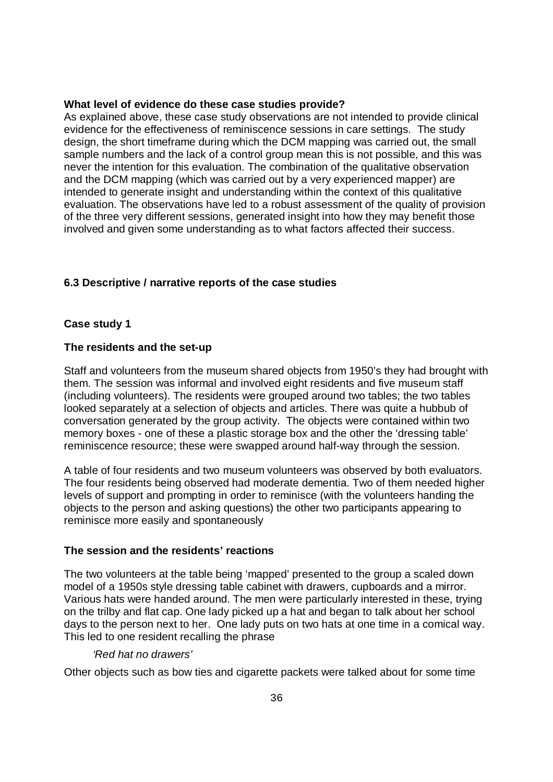#### **What level of evidence do these case studies provide?**

As explained above, these case study observations are not intended to provide clinical evidence for the effectiveness of reminiscence sessions in care settings. The study design, the short timeframe during which the DCM mapping was carried out, the small sample numbers and the lack of a control group mean this is not possible, and this was never the intention for this evaluation. The combination of the qualitative observation and the DCM mapping (which was carried out by a very experienced mapper) are intended to generate insight and understanding within the context of this qualitative evaluation. The observations have led to a robust assessment of the quality of provision of the three very different sessions, generated insight into how they may benefit those involved and given some understanding as to what factors affected their success.

#### **6.3 Descriptive / narrative reports of the case studies**

#### **Case study 1**

#### **The residents and the set-up**

Staff and volunteers from the museum shared objects from 1950's they had brought with them. The session was informal and involved eight residents and five museum staff (including volunteers). The residents were grouped around two tables; the two tables looked separately at a selection of objects and articles. There was quite a hubbub of conversation generated by the group activity. The objects were contained within two memory boxes - one of these a plastic storage box and the other the 'dressing table' reminiscence resource; these were swapped around half-way through the session.

A table of four residents and two museum volunteers was observed by both evaluators. The four residents being observed had moderate dementia. Two of them needed higher levels of support and prompting in order to reminisce (with the volunteers handing the objects to the person and asking questions) the other two participants appearing to reminisce more easily and spontaneously

#### **The session and the residents' reactions**

The two volunteers at the table being 'mapped' presented to the group a scaled down model of a 1950s style dressing table cabinet with drawers, cupboards and a mirror. Various hats were handed around. The men were particularly interested in these, trying on the trilby and flat cap. One lady picked up a hat and began to talk about her school days to the person next to her. One lady puts on two hats at one time in a comical way. This led to one resident recalling the phrase

#### *'Red hat no drawers'*

Other objects such as bow ties and cigarette packets were talked about for some time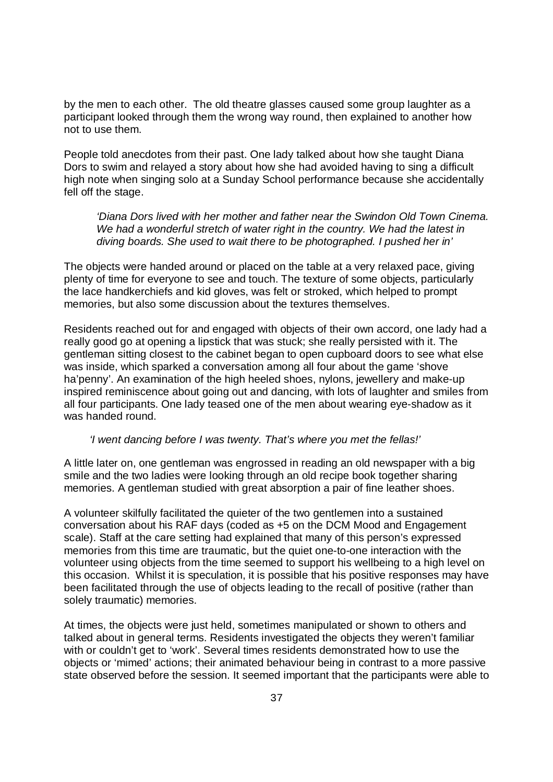by the men to each other. The old theatre glasses caused some group laughter as a participant looked through them the wrong way round, then explained to another how not to use them.

People told anecdotes from their past. One lady talked about how she taught Diana Dors to swim and relayed a story about how she had avoided having to sing a difficult high note when singing solo at a Sunday School performance because she accidentally fell off the stage.

*'Diana Dors lived with her mother and father near the Swindon Old Town Cinema. We had a wonderful stretch of water right in the country. We had the latest in diving boards. She used to wait there to be photographed. I pushed her in'* 

The objects were handed around or placed on the table at a very relaxed pace, giving plenty of time for everyone to see and touch. The texture of some objects, particularly the lace handkerchiefs and kid gloves, was felt or stroked, which helped to prompt memories, but also some discussion about the textures themselves.

Residents reached out for and engaged with objects of their own accord, one lady had a really good go at opening a lipstick that was stuck; she really persisted with it. The gentleman sitting closest to the cabinet began to open cupboard doors to see what else was inside, which sparked a conversation among all four about the game 'shove ha'penny'. An examination of the high heeled shoes, nylons, jewellery and make-up inspired reminiscence about going out and dancing, with lots of laughter and smiles from all four participants. One lady teased one of the men about wearing eye-shadow as it was handed round.

#### *'I went dancing before I was twenty. That's where you met the fellas!'*

A little later on, one gentleman was engrossed in reading an old newspaper with a big smile and the two ladies were looking through an old recipe book together sharing memories. A gentleman studied with great absorption a pair of fine leather shoes.

A volunteer skilfully facilitated the quieter of the two gentlemen into a sustained conversation about his RAF days (coded as +5 on the DCM Mood and Engagement scale). Staff at the care setting had explained that many of this person's expressed memories from this time are traumatic, but the quiet one-to-one interaction with the volunteer using objects from the time seemed to support his wellbeing to a high level on this occasion. Whilst it is speculation, it is possible that his positive responses may have been facilitated through the use of objects leading to the recall of positive (rather than solely traumatic) memories.

At times, the objects were just held, sometimes manipulated or shown to others and talked about in general terms. Residents investigated the objects they weren't familiar with or couldn't get to 'work'. Several times residents demonstrated how to use the objects or 'mimed' actions; their animated behaviour being in contrast to a more passive state observed before the session. It seemed important that the participants were able to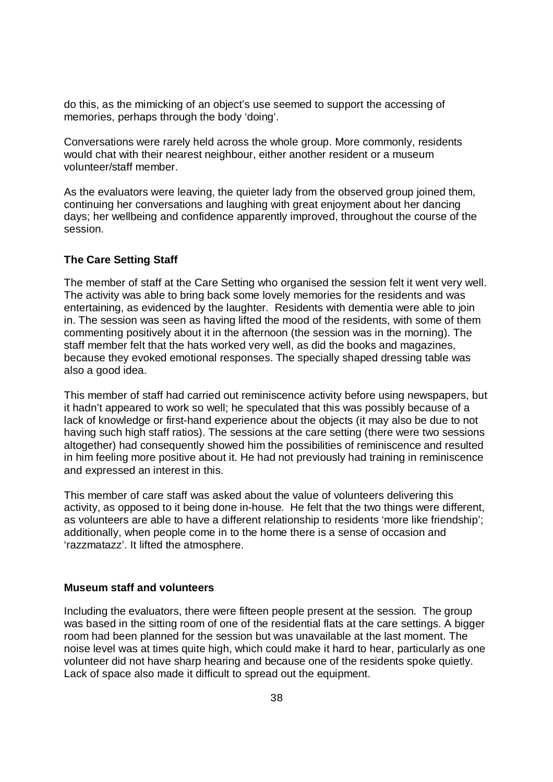do this, as the mimicking of an object's use seemed to support the accessing of memories, perhaps through the body 'doing'.

Conversations were rarely held across the whole group. More commonly, residents would chat with their nearest neighbour, either another resident or a museum volunteer/staff member.

As the evaluators were leaving, the quieter lady from the observed group joined them, continuing her conversations and laughing with great enjoyment about her dancing days; her wellbeing and confidence apparently improved, throughout the course of the session.

#### **The Care Setting Staff**

The member of staff at the Care Setting who organised the session felt it went very well. The activity was able to bring back some lovely memories for the residents and was entertaining, as evidenced by the laughter. Residents with dementia were able to join in. The session was seen as having lifted the mood of the residents, with some of them commenting positively about it in the afternoon (the session was in the morning). The staff member felt that the hats worked very well, as did the books and magazines, because they evoked emotional responses. The specially shaped dressing table was also a good idea.

This member of staff had carried out reminiscence activity before using newspapers, but it hadn't appeared to work so well; he speculated that this was possibly because of a lack of knowledge or first-hand experience about the objects (it may also be due to not having such high staff ratios). The sessions at the care setting (there were two sessions altogether) had consequently showed him the possibilities of reminiscence and resulted in him feeling more positive about it. He had not previously had training in reminiscence and expressed an interest in this.

This member of care staff was asked about the value of volunteers delivering this activity, as opposed to it being done in-house. He felt that the two things were different, as volunteers are able to have a different relationship to residents 'more like friendship'; additionally, when people come in to the home there is a sense of occasion and 'razzmatazz'. It lifted the atmosphere.

#### **Museum staff and volunteers**

Including the evaluators, there were fifteen people present at the session. The group was based in the sitting room of one of the residential flats at the care settings. A bigger room had been planned for the session but was unavailable at the last moment. The noise level was at times quite high, which could make it hard to hear, particularly as one volunteer did not have sharp hearing and because one of the residents spoke quietly. Lack of space also made it difficult to spread out the equipment.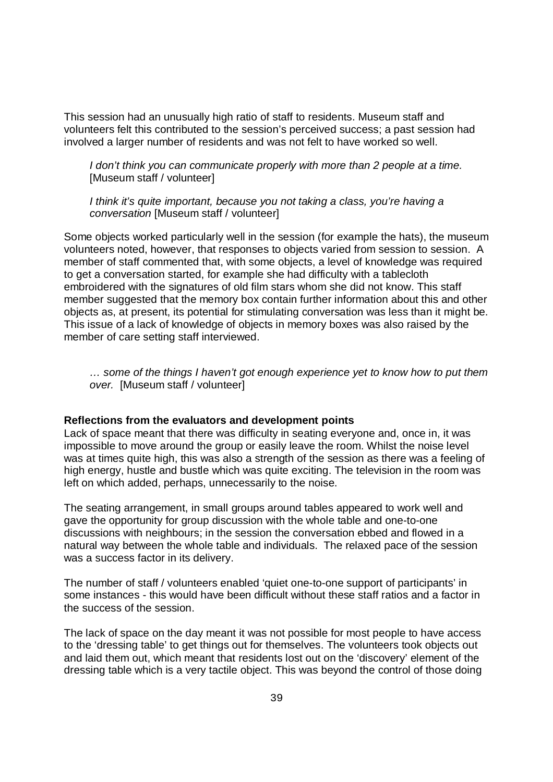This session had an unusually high ratio of staff to residents. Museum staff and volunteers felt this contributed to the session's perceived success; a past session had involved a larger number of residents and was not felt to have worked so well.

*I don't think you can communicate properly with more than 2 people at a time.* [Museum staff / volunteer]

*I think it's quite important, because you not taking a class, you're having a conversation* [Museum staff / volunteer]

Some objects worked particularly well in the session (for example the hats), the museum volunteers noted, however, that responses to objects varied from session to session. A member of staff commented that, with some objects, a level of knowledge was required to get a conversation started, for example she had difficulty with a tablecloth embroidered with the signatures of old film stars whom she did not know. This staff member suggested that the memory box contain further information about this and other objects as, at present, its potential for stimulating conversation was less than it might be. This issue of a lack of knowledge of objects in memory boxes was also raised by the member of care setting staff interviewed.

*… some of the things I haven't got enough experience yet to know how to put them over.* [Museum staff / volunteer]

#### **Reflections from the evaluators and development points**

Lack of space meant that there was difficulty in seating everyone and, once in, it was impossible to move around the group or easily leave the room. Whilst the noise level was at times quite high, this was also a strength of the session as there was a feeling of high energy, hustle and bustle which was quite exciting. The television in the room was left on which added, perhaps, unnecessarily to the noise.

The seating arrangement, in small groups around tables appeared to work well and gave the opportunity for group discussion with the whole table and one-to-one discussions with neighbours; in the session the conversation ebbed and flowed in a natural way between the whole table and individuals. The relaxed pace of the session was a success factor in its delivery.

The number of staff / volunteers enabled 'quiet one-to-one support of participants' in some instances - this would have been difficult without these staff ratios and a factor in the success of the session.

The lack of space on the day meant it was not possible for most people to have access to the 'dressing table' to get things out for themselves. The volunteers took objects out and laid them out, which meant that residents lost out on the 'discovery' element of the dressing table which is a very tactile object. This was beyond the control of those doing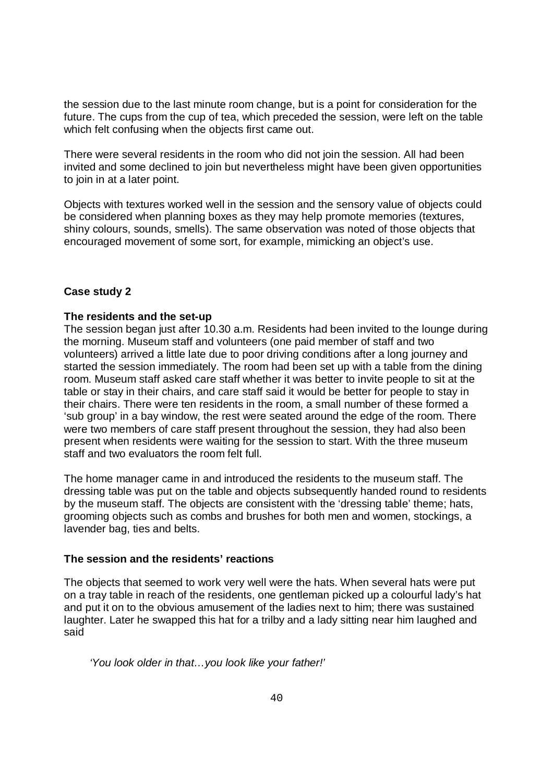the session due to the last minute room change, but is a point for consideration for the future. The cups from the cup of tea, which preceded the session, were left on the table which felt confusing when the objects first came out.

There were several residents in the room who did not join the session. All had been invited and some declined to join but nevertheless might have been given opportunities to join in at a later point.

Objects with textures worked well in the session and the sensory value of objects could be considered when planning boxes as they may help promote memories (textures, shiny colours, sounds, smells). The same observation was noted of those objects that encouraged movement of some sort, for example, mimicking an object's use.

#### **Case study 2**

#### **The residents and the set-up**

The session began just after 10.30 a.m. Residents had been invited to the lounge during the morning. Museum staff and volunteers (one paid member of staff and two volunteers) arrived a little late due to poor driving conditions after a long journey and started the session immediately. The room had been set up with a table from the dining room. Museum staff asked care staff whether it was better to invite people to sit at the table or stay in their chairs, and care staff said it would be better for people to stay in their chairs. There were ten residents in the room, a small number of these formed a 'sub group' in a bay window, the rest were seated around the edge of the room. There were two members of care staff present throughout the session, they had also been present when residents were waiting for the session to start. With the three museum staff and two evaluators the room felt full.

The home manager came in and introduced the residents to the museum staff. The dressing table was put on the table and objects subsequently handed round to residents by the museum staff. The objects are consistent with the 'dressing table' theme; hats, grooming objects such as combs and brushes for both men and women, stockings, a lavender bag, ties and belts.

#### **The session and the residents' reactions**

The objects that seemed to work very well were the hats. When several hats were put on a tray table in reach of the residents, one gentleman picked up a colourful lady's hat and put it on to the obvious amusement of the ladies next to him; there was sustained laughter. Later he swapped this hat for a trilby and a lady sitting near him laughed and said

*'You look older in that…you look like your father!'*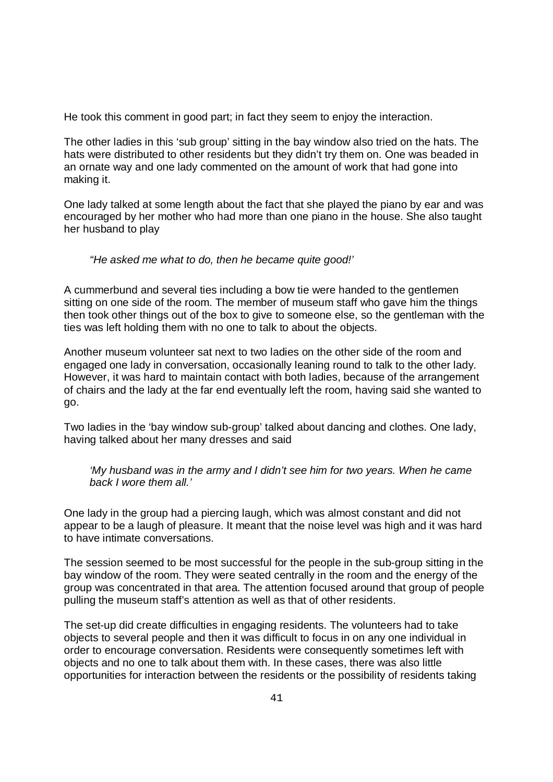He took this comment in good part; in fact they seem to enjoy the interaction.

The other ladies in this 'sub group' sitting in the bay window also tried on the hats. The hats were distributed to other residents but they didn't try them on. One was beaded in an ornate way and one lady commented on the amount of work that had gone into making it.

One lady talked at some length about the fact that she played the piano by ear and was encouraged by her mother who had more than one piano in the house. She also taught her husband to play

#### *"He asked me what to do, then he became quite good!'*

A cummerbund and several ties including a bow tie were handed to the gentlemen sitting on one side of the room. The member of museum staff who gave him the things then took other things out of the box to give to someone else, so the gentleman with the ties was left holding them with no one to talk to about the objects.

Another museum volunteer sat next to two ladies on the other side of the room and engaged one lady in conversation, occasionally leaning round to talk to the other lady. However, it was hard to maintain contact with both ladies, because of the arrangement of chairs and the lady at the far end eventually left the room, having said she wanted to go.

Two ladies in the 'bay window sub-group' talked about dancing and clothes. One lady, having talked about her many dresses and said

*'My husband was in the army and I didn't see him for two years. When he came back I wore them all.'*

One lady in the group had a piercing laugh, which was almost constant and did not appear to be a laugh of pleasure. It meant that the noise level was high and it was hard to have intimate conversations.

The session seemed to be most successful for the people in the sub-group sitting in the bay window of the room. They were seated centrally in the room and the energy of the group was concentrated in that area. The attention focused around that group of people pulling the museum staff's attention as well as that of other residents.

The set-up did create difficulties in engaging residents. The volunteers had to take objects to several people and then it was difficult to focus in on any one individual in order to encourage conversation. Residents were consequently sometimes left with objects and no one to talk about them with. In these cases, there was also little opportunities for interaction between the residents or the possibility of residents taking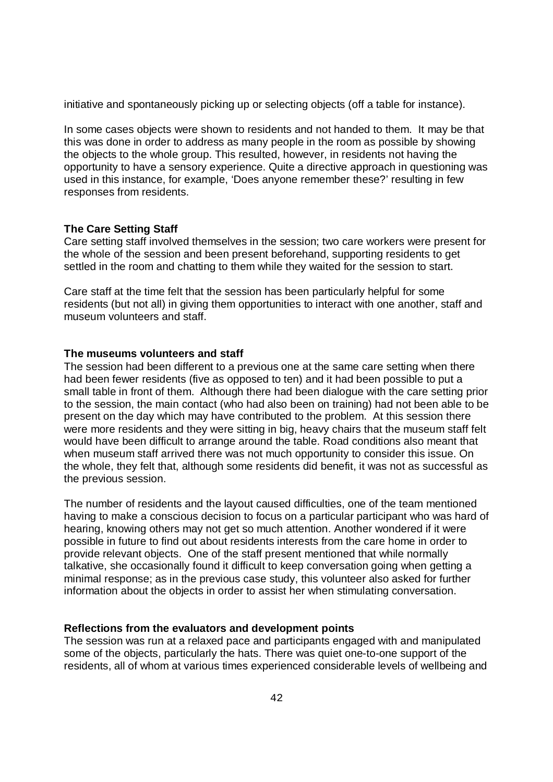initiative and spontaneously picking up or selecting objects (off a table for instance).

In some cases objects were shown to residents and not handed to them. It may be that this was done in order to address as many people in the room as possible by showing the objects to the whole group. This resulted, however, in residents not having the opportunity to have a sensory experience. Quite a directive approach in questioning was used in this instance, for example, 'Does anyone remember these?' resulting in few responses from residents.

#### **The Care Setting Staff**

Care setting staff involved themselves in the session; two care workers were present for the whole of the session and been present beforehand, supporting residents to get settled in the room and chatting to them while they waited for the session to start.

Care staff at the time felt that the session has been particularly helpful for some residents (but not all) in giving them opportunities to interact with one another, staff and museum volunteers and staff.

#### **The museums volunteers and staff**

The session had been different to a previous one at the same care setting when there had been fewer residents (five as opposed to ten) and it had been possible to put a small table in front of them. Although there had been dialogue with the care setting prior to the session, the main contact (who had also been on training) had not been able to be present on the day which may have contributed to the problem. At this session there were more residents and they were sitting in big, heavy chairs that the museum staff felt would have been difficult to arrange around the table. Road conditions also meant that when museum staff arrived there was not much opportunity to consider this issue. On the whole, they felt that, although some residents did benefit, it was not as successful as the previous session.

The number of residents and the layout caused difficulties, one of the team mentioned having to make a conscious decision to focus on a particular participant who was hard of hearing, knowing others may not get so much attention. Another wondered if it were possible in future to find out about residents interests from the care home in order to provide relevant objects. One of the staff present mentioned that while normally talkative, she occasionally found it difficult to keep conversation going when getting a minimal response; as in the previous case study, this volunteer also asked for further information about the objects in order to assist her when stimulating conversation.

#### **Reflections from the evaluators and development points**

The session was run at a relaxed pace and participants engaged with and manipulated some of the objects, particularly the hats. There was quiet one-to-one support of the residents, all of whom at various times experienced considerable levels of wellbeing and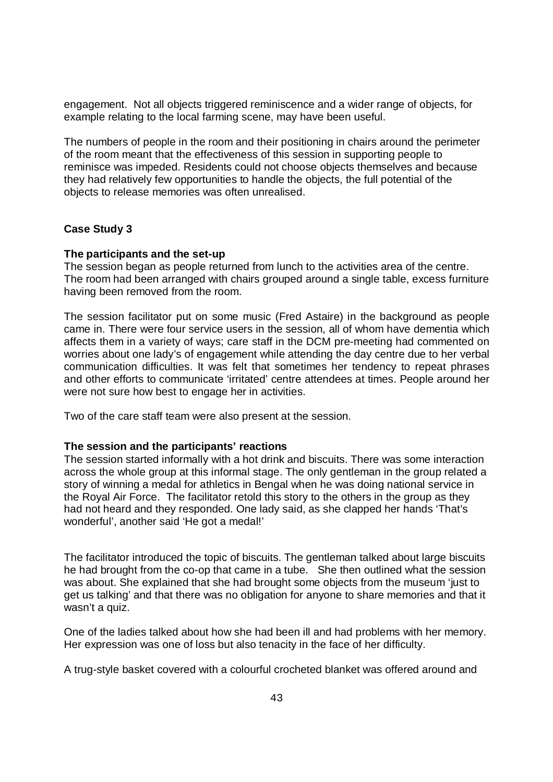engagement. Not all objects triggered reminiscence and a wider range of objects, for example relating to the local farming scene, may have been useful.

The numbers of people in the room and their positioning in chairs around the perimeter of the room meant that the effectiveness of this session in supporting people to reminisce was impeded. Residents could not choose objects themselves and because they had relatively few opportunities to handle the objects, the full potential of the objects to release memories was often unrealised.

#### **Case Study 3**

#### **The participants and the set-up**

The session began as people returned from lunch to the activities area of the centre. The room had been arranged with chairs grouped around a single table, excess furniture having been removed from the room.

The session facilitator put on some music (Fred Astaire) in the background as people came in. There were four service users in the session, all of whom have dementia which affects them in a variety of ways; care staff in the DCM pre-meeting had commented on worries about one lady's of engagement while attending the day centre due to her verbal communication difficulties. It was felt that sometimes her tendency to repeat phrases and other efforts to communicate 'irritated' centre attendees at times. People around her were not sure how best to engage her in activities.

Two of the care staff team were also present at the session.

#### **The session and the participants' reactions**

The session started informally with a hot drink and biscuits. There was some interaction across the whole group at this informal stage. The only gentleman in the group related a story of winning a medal for athletics in Bengal when he was doing national service in the Royal Air Force. The facilitator retold this story to the others in the group as they had not heard and they responded. One lady said, as she clapped her hands 'That's wonderful', another said 'He got a medal!'

The facilitator introduced the topic of biscuits. The gentleman talked about large biscuits he had brought from the co-op that came in a tube. She then outlined what the session was about. She explained that she had brought some objects from the museum 'just to get us talking' and that there was no obligation for anyone to share memories and that it wasn't a quiz.

One of the ladies talked about how she had been ill and had problems with her memory. Her expression was one of loss but also tenacity in the face of her difficulty.

A trug-style basket covered with a colourful crocheted blanket was offered around and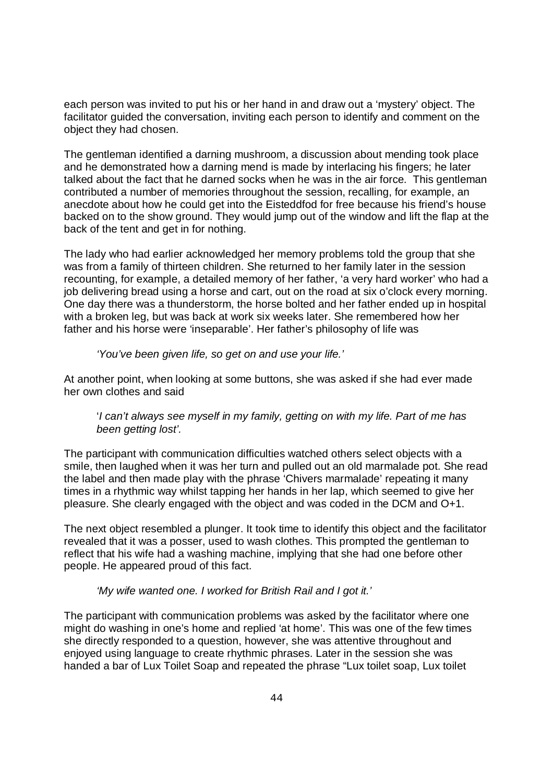each person was invited to put his or her hand in and draw out a 'mystery' object. The facilitator guided the conversation, inviting each person to identify and comment on the object they had chosen.

The gentleman identified a darning mushroom, a discussion about mending took place and he demonstrated how a darning mend is made by interlacing his fingers; he later talked about the fact that he darned socks when he was in the air force. This gentleman contributed a number of memories throughout the session, recalling, for example, an anecdote about how he could get into the Eisteddfod for free because his friend's house backed on to the show ground. They would jump out of the window and lift the flap at the back of the tent and get in for nothing.

The lady who had earlier acknowledged her memory problems told the group that she was from a family of thirteen children. She returned to her family later in the session recounting, for example, a detailed memory of her father, 'a very hard worker' who had a job delivering bread using a horse and cart, out on the road at six o'clock every morning. One day there was a thunderstorm, the horse bolted and her father ended up in hospital with a broken leg, but was back at work six weeks later. She remembered how her father and his horse were 'inseparable'. Her father's philosophy of life was

#### *'You've been given life, so get on and use your life.'*

At another point, when looking at some buttons, she was asked if she had ever made her own clothes and said

#### '*I can't always see myself in my family, getting on with my life. Part of me has been getting lost'.*

The participant with communication difficulties watched others select objects with a smile, then laughed when it was her turn and pulled out an old marmalade pot. She read the label and then made play with the phrase 'Chivers marmalade' repeating it many times in a rhythmic way whilst tapping her hands in her lap, which seemed to give her pleasure. She clearly engaged with the object and was coded in the DCM and O+1.

The next object resembled a plunger. It took time to identify this object and the facilitator revealed that it was a posser, used to wash clothes. This prompted the gentleman to reflect that his wife had a washing machine, implying that she had one before other people. He appeared proud of this fact.

#### *'My wife wanted one. I worked for British Rail and I got it.'*

The participant with communication problems was asked by the facilitator where one might do washing in one's home and replied 'at home'. This was one of the few times she directly responded to a question, however, she was attentive throughout and enjoyed using language to create rhythmic phrases. Later in the session she was handed a bar of Lux Toilet Soap and repeated the phrase "Lux toilet soap, Lux toilet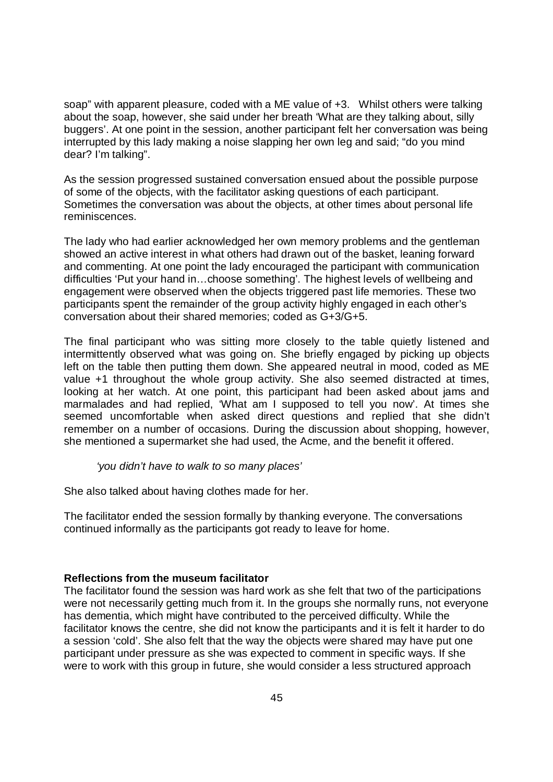soap" with apparent pleasure, coded with a ME value of +3. Whilst others were talking about the soap, however, she said under her breath 'What are they talking about, silly buggers'. At one point in the session, another participant felt her conversation was being interrupted by this lady making a noise slapping her own leg and said; "do you mind dear? I'm talking".

As the session progressed sustained conversation ensued about the possible purpose of some of the objects, with the facilitator asking questions of each participant. Sometimes the conversation was about the objects, at other times about personal life reminiscences.

The lady who had earlier acknowledged her own memory problems and the gentleman showed an active interest in what others had drawn out of the basket, leaning forward and commenting. At one point the lady encouraged the participant with communication difficulties 'Put your hand in…choose something'. The highest levels of wellbeing and engagement were observed when the objects triggered past life memories. These two participants spent the remainder of the group activity highly engaged in each other's conversation about their shared memories; coded as G+3/G+5.

The final participant who was sitting more closely to the table quietly listened and intermittently observed what was going on. She briefly engaged by picking up objects left on the table then putting them down. She appeared neutral in mood, coded as ME value +1 throughout the whole group activity. She also seemed distracted at times, looking at her watch. At one point, this participant had been asked about jams and marmalades and had replied, 'What am I supposed to tell you now'. At times she seemed uncomfortable when asked direct questions and replied that she didn't remember on a number of occasions. During the discussion about shopping, however, she mentioned a supermarket she had used, the Acme, and the benefit it offered.

*'you didn't have to walk to so many places'* 

She also talked about having clothes made for her.

The facilitator ended the session formally by thanking everyone. The conversations continued informally as the participants got ready to leave for home.

#### **Reflections from the museum facilitator**

The facilitator found the session was hard work as she felt that two of the participations were not necessarily getting much from it. In the groups she normally runs, not everyone has dementia, which might have contributed to the perceived difficulty. While the facilitator knows the centre, she did not know the participants and it is felt it harder to do a session 'cold'. She also felt that the way the objects were shared may have put one participant under pressure as she was expected to comment in specific ways. If she were to work with this group in future, she would consider a less structured approach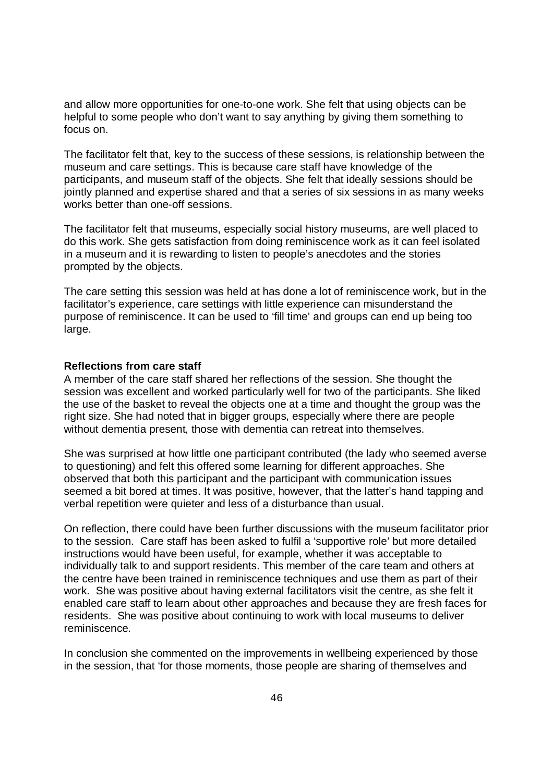and allow more opportunities for one-to-one work. She felt that using objects can be helpful to some people who don't want to say anything by giving them something to focus on.

The facilitator felt that, key to the success of these sessions, is relationship between the museum and care settings. This is because care staff have knowledge of the participants, and museum staff of the objects. She felt that ideally sessions should be jointly planned and expertise shared and that a series of six sessions in as many weeks works better than one-off sessions.

The facilitator felt that museums, especially social history museums, are well placed to do this work. She gets satisfaction from doing reminiscence work as it can feel isolated in a museum and it is rewarding to listen to people's anecdotes and the stories prompted by the objects.

The care setting this session was held at has done a lot of reminiscence work, but in the facilitator's experience, care settings with little experience can misunderstand the purpose of reminiscence. It can be used to 'fill time' and groups can end up being too large.

#### **Reflections from care staff**

A member of the care staff shared her reflections of the session. She thought the session was excellent and worked particularly well for two of the participants. She liked the use of the basket to reveal the objects one at a time and thought the group was the right size. She had noted that in bigger groups, especially where there are people without dementia present, those with dementia can retreat into themselves.

She was surprised at how little one participant contributed (the lady who seemed averse to questioning) and felt this offered some learning for different approaches. She observed that both this participant and the participant with communication issues seemed a bit bored at times. It was positive, however, that the latter's hand tapping and verbal repetition were quieter and less of a disturbance than usual.

On reflection, there could have been further discussions with the museum facilitator prior to the session. Care staff has been asked to fulfil a 'supportive role' but more detailed instructions would have been useful, for example, whether it was acceptable to individually talk to and support residents. This member of the care team and others at the centre have been trained in reminiscence techniques and use them as part of their work. She was positive about having external facilitators visit the centre, as she felt it enabled care staff to learn about other approaches and because they are fresh faces for residents. She was positive about continuing to work with local museums to deliver reminiscence.

In conclusion she commented on the improvements in wellbeing experienced by those in the session, that 'for those moments, those people are sharing of themselves and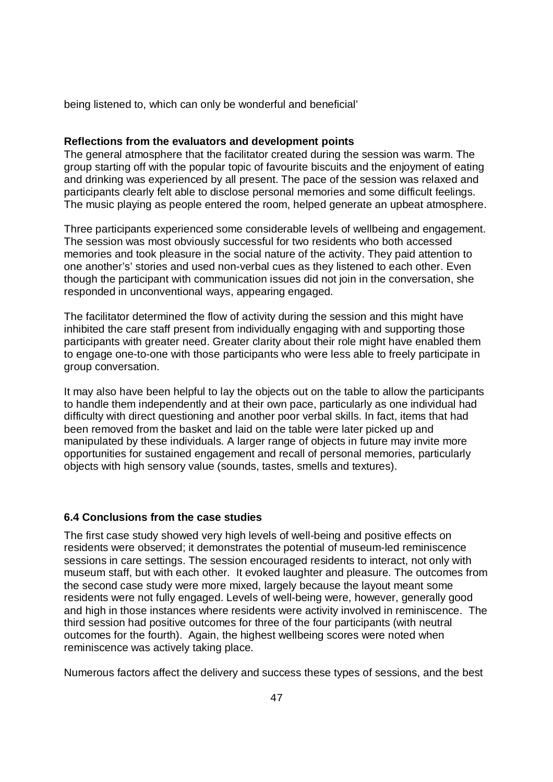being listened to, which can only be wonderful and beneficial'

#### **Reflections from the evaluators and development points**

The general atmosphere that the facilitator created during the session was warm. The group starting off with the popular topic of favourite biscuits and the enjoyment of eating and drinking was experienced by all present. The pace of the session was relaxed and participants clearly felt able to disclose personal memories and some difficult feelings. The music playing as people entered the room, helped generate an upbeat atmosphere.

Three participants experienced some considerable levels of wellbeing and engagement. The session was most obviously successful for two residents who both accessed memories and took pleasure in the social nature of the activity. They paid attention to one another's' stories and used non-verbal cues as they listened to each other. Even though the participant with communication issues did not join in the conversation, she responded in unconventional ways, appearing engaged.

The facilitator determined the flow of activity during the session and this might have inhibited the care staff present from individually engaging with and supporting those participants with greater need. Greater clarity about their role might have enabled them to engage one-to-one with those participants who were less able to freely participate in group conversation.

It may also have been helpful to lay the objects out on the table to allow the participants to handle them independently and at their own pace, particularly as one individual had difficulty with direct questioning and another poor verbal skills. In fact, items that had been removed from the basket and laid on the table were later picked up and manipulated by these individuals. A larger range of objects in future may invite more opportunities for sustained engagement and recall of personal memories, particularly objects with high sensory value (sounds, tastes, smells and textures).

#### **6.4 Conclusions from the case studies**

The first case study showed very high levels of well-being and positive effects on residents were observed; it demonstrates the potential of museum-led reminiscence sessions in care settings. The session encouraged residents to interact, not only with museum staff, but with each other. It evoked laughter and pleasure. The outcomes from the second case study were more mixed, largely because the layout meant some residents were not fully engaged. Levels of well-being were, however, generally good and high in those instances where residents were activity involved in reminiscence. The third session had positive outcomes for three of the four participants (with neutral outcomes for the fourth). Again, the highest wellbeing scores were noted when reminiscence was actively taking place.

Numerous factors affect the delivery and success these types of sessions, and the best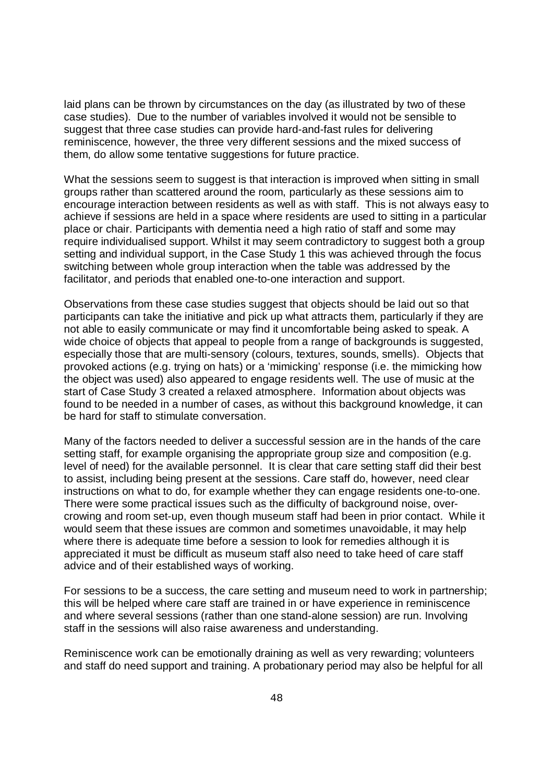laid plans can be thrown by circumstances on the day (as illustrated by two of these case studies). Due to the number of variables involved it would not be sensible to suggest that three case studies can provide hard-and-fast rules for delivering reminiscence, however, the three very different sessions and the mixed success of them, do allow some tentative suggestions for future practice.

What the sessions seem to suggest is that interaction is improved when sitting in small groups rather than scattered around the room, particularly as these sessions aim to encourage interaction between residents as well as with staff. This is not always easy to achieve if sessions are held in a space where residents are used to sitting in a particular place or chair. Participants with dementia need a high ratio of staff and some may require individualised support. Whilst it may seem contradictory to suggest both a group setting and individual support, in the Case Study 1 this was achieved through the focus switching between whole group interaction when the table was addressed by the facilitator, and periods that enabled one-to-one interaction and support.

Observations from these case studies suggest that objects should be laid out so that participants can take the initiative and pick up what attracts them, particularly if they are not able to easily communicate or may find it uncomfortable being asked to speak. A wide choice of objects that appeal to people from a range of backgrounds is suggested, especially those that are multi-sensory (colours, textures, sounds, smells). Objects that provoked actions (e.g. trying on hats) or a 'mimicking' response (i.e. the mimicking how the object was used) also appeared to engage residents well. The use of music at the start of Case Study 3 created a relaxed atmosphere. Information about objects was found to be needed in a number of cases, as without this background knowledge, it can be hard for staff to stimulate conversation.

Many of the factors needed to deliver a successful session are in the hands of the care setting staff, for example organising the appropriate group size and composition (e.g. level of need) for the available personnel. It is clear that care setting staff did their best to assist, including being present at the sessions. Care staff do, however, need clear instructions on what to do, for example whether they can engage residents one-to-one. There were some practical issues such as the difficulty of background noise, overcrowing and room set-up, even though museum staff had been in prior contact. While it would seem that these issues are common and sometimes unavoidable, it may help where there is adequate time before a session to look for remedies although it is appreciated it must be difficult as museum staff also need to take heed of care staff advice and of their established ways of working.

For sessions to be a success, the care setting and museum need to work in partnership; this will be helped where care staff are trained in or have experience in reminiscence and where several sessions (rather than one stand-alone session) are run. Involving staff in the sessions will also raise awareness and understanding.

Reminiscence work can be emotionally draining as well as very rewarding; volunteers and staff do need support and training. A probationary period may also be helpful for all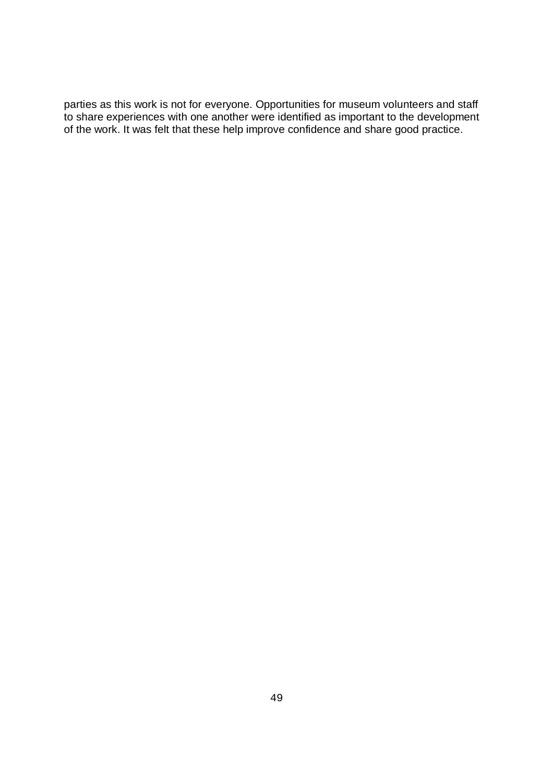parties as this work is not for everyone. Opportunities for museum volunteers and staff to share experiences with one another were identified as important to the development of the work. It was felt that these help improve confidence and share good practice.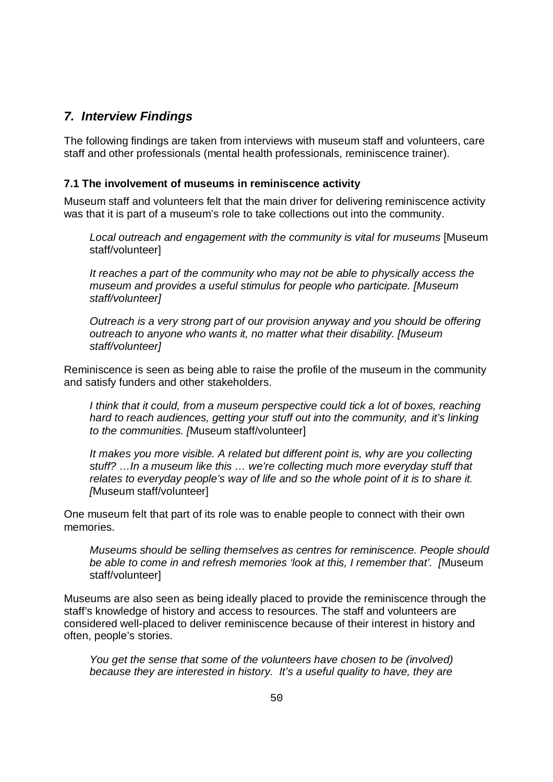## *7. Interview Findings*

The following findings are taken from interviews with museum staff and volunteers, care staff and other professionals (mental health professionals, reminiscence trainer).

#### **7.1 The involvement of museums in reminiscence activity**

Museum staff and volunteers felt that the main driver for delivering reminiscence activity was that it is part of a museum's role to take collections out into the community.

*Local outreach and engagement with the community is vital for museums* [Museum staff/volunteer]

*It reaches a part of the community who may not be able to physically access the museum and provides a useful stimulus for people who participate. [Museum staff/volunteer]*

*Outreach is a very strong part of our provision anyway and you should be offering outreach to anyone who wants it, no matter what their disability. [Museum staff/volunteer]*

Reminiscence is seen as being able to raise the profile of the museum in the community and satisfy funders and other stakeholders.

*I think that it could, from a museum perspective could tick a lot of boxes, reaching hard to reach audiences, getting your stuff out into the community, and it's linking to the communities. [*Museum staff/volunteer]

It makes you more visible. A related but different point is, why are you collecting *stuff? …In a museum like this … we're collecting much more everyday stuff that relates to everyday people's way of life and so the whole point of it is to share it. [*Museum staff/volunteer]

One museum felt that part of its role was to enable people to connect with their own memories.

*Museums should be selling themselves as centres for reminiscence. People should be able to come in and refresh memories 'look at this, I remember that'. [*Museum staff/volunteer]

Museums are also seen as being ideally placed to provide the reminiscence through the staff's knowledge of history and access to resources. The staff and volunteers are considered well-placed to deliver reminiscence because of their interest in history and often, people's stories.

*You get the sense that some of the volunteers have chosen to be (involved) because they are interested in history. It's a useful quality to have, they are*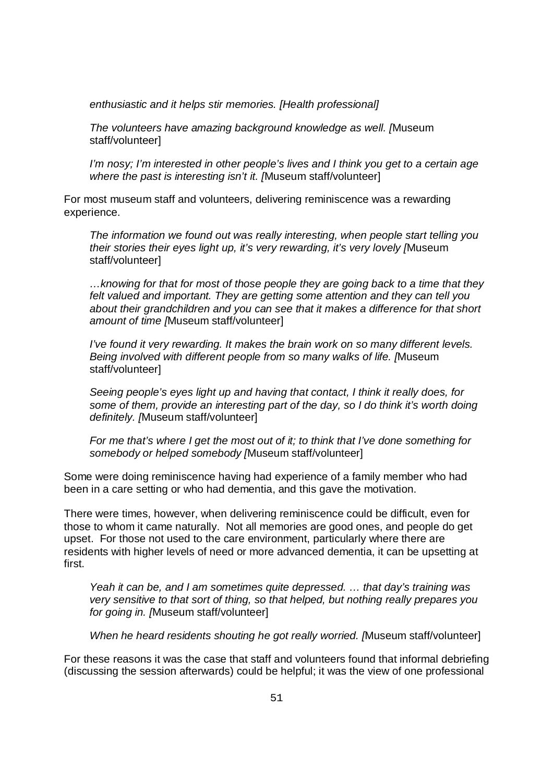*enthusiastic and it helps stir memories. [Health professional]* 

*The volunteers have amazing background knowledge as well. [*Museum staff/volunteer]

*I'm nosy; I'm interested in other people's lives and I think you get to a certain age where the past is interesting isn't it. [*Museum staff/volunteer]

For most museum staff and volunteers, delivering reminiscence was a rewarding experience.

*The information we found out was really interesting, when people start telling you their stories their eyes light up, it's very rewarding, it's very lovely [*Museum staff/volunteer]

*…knowing for that for most of those people they are going back to a time that they felt valued and important. They are getting some attention and they can tell you*  about their grandchildren and you can see that it makes a difference for that short *amount of time [*Museum staff/volunteer]

*I've found it very rewarding. It makes the brain work on so many different levels. Being involved with different people from so many walks of life. [*Museum staff/volunteer]

*Seeing people's eyes light up and having that contact, I think it really does, for some of them, provide an interesting part of the day, so I do think it's worth doing definitely. [*Museum staff/volunteer]

*For me that's where I get the most out of it; to think that I've done something for somebody or helped somebody [*Museum staff/volunteer]

Some were doing reminiscence having had experience of a family member who had been in a care setting or who had dementia, and this gave the motivation.

There were times, however, when delivering reminiscence could be difficult, even for those to whom it came naturally. Not all memories are good ones, and people do get upset. For those not used to the care environment, particularly where there are residents with higher levels of need or more advanced dementia, it can be upsetting at first.

*Yeah it can be, and I am sometimes quite depressed. … that day's training was very sensitive to that sort of thing, so that helped, but nothing really prepares you for going in. [*Museum staff/volunteer]

*When he heard residents shouting he got really worried. [*Museum staff/volunteer]

For these reasons it was the case that staff and volunteers found that informal debriefing (discussing the session afterwards) could be helpful; it was the view of one professional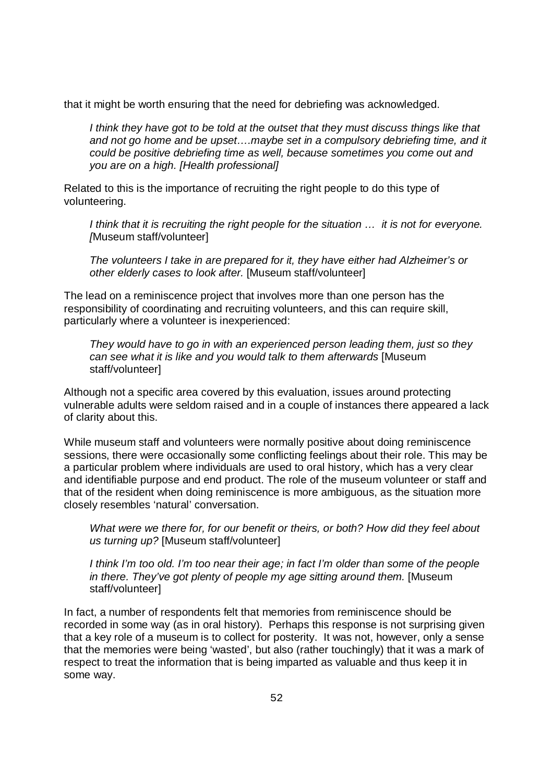that it might be worth ensuring that the need for debriefing was acknowledged.

*I think they have got to be told at the outset that they must discuss things like that and not go home and be upset….maybe set in a compulsory debriefing time, and it could be positive debriefing time as well, because sometimes you come out and you are on a high. [Health professional]*

Related to this is the importance of recruiting the right people to do this type of volunteering.

*I think that it is recruiting the right people for the situation … it is not for everyone. [*Museum staff/volunteer]

*The volunteers I take in are prepared for it, they have either had Alzheimer's or other elderly cases to look after.* [Museum staff/volunteer]

The lead on a reminiscence project that involves more than one person has the responsibility of coordinating and recruiting volunteers, and this can require skill, particularly where a volunteer is inexperienced:

*They would have to go in with an experienced person leading them, just so they can see what it is like and you would talk to them afterwards* [Museum staff/volunteer]

Although not a specific area covered by this evaluation, issues around protecting vulnerable adults were seldom raised and in a couple of instances there appeared a lack of clarity about this.

While museum staff and volunteers were normally positive about doing reminiscence sessions, there were occasionally some conflicting feelings about their role. This may be a particular problem where individuals are used to oral history, which has a very clear and identifiable purpose and end product. The role of the museum volunteer or staff and that of the resident when doing reminiscence is more ambiguous, as the situation more closely resembles 'natural' conversation.

*What were we there for, for our benefit or theirs, or both? How did they feel about us turning up?* [Museum staff/volunteer]

*I think I'm too old. I'm too near their age; in fact I'm older than some of the people in there. They've got plenty of people my age sitting around them.* [Museum staff/volunteer]

In fact, a number of respondents felt that memories from reminiscence should be recorded in some way (as in oral history). Perhaps this response is not surprising given that a key role of a museum is to collect for posterity. It was not, however, only a sense that the memories were being 'wasted', but also (rather touchingly) that it was a mark of respect to treat the information that is being imparted as valuable and thus keep it in some way.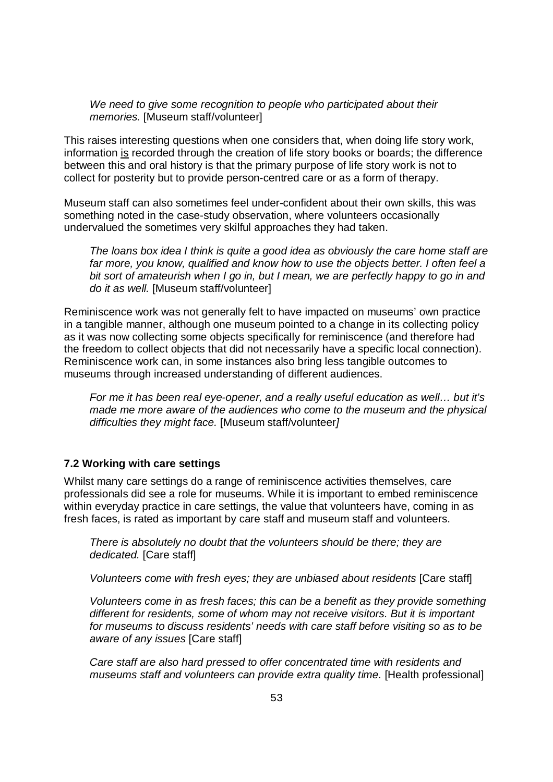*We need to give some recognition to people who participated about their memories.* [Museum staff/volunteer]

This raises interesting questions when one considers that, when doing life story work, information is recorded through the creation of life story books or boards; the difference between this and oral history is that the primary purpose of life story work is not to collect for posterity but to provide person-centred care or as a form of therapy.

Museum staff can also sometimes feel under-confident about their own skills, this was something noted in the case-study observation, where volunteers occasionally undervalued the sometimes very skilful approaches they had taken.

*The loans box idea I think is quite a good idea as obviously the care home staff are*  far more, you know, qualified and know how to use the objects better. I often feel a *bit sort of amateurish when I go in, but I mean, we are perfectly happy to go in and do it as well.* [Museum staff/volunteer]

Reminiscence work was not generally felt to have impacted on museums' own practice in a tangible manner, although one museum pointed to a change in its collecting policy as it was now collecting some objects specifically for reminiscence (and therefore had the freedom to collect objects that did not necessarily have a specific local connection). Reminiscence work can, in some instances also bring less tangible outcomes to museums through increased understanding of different audiences.

*For me it has been real eye-opener, and a really useful education as well… but it's made me more aware of the audiences who come to the museum and the physical difficulties they might face.* [Museum staff/volunteer*]*

#### **7.2 Working with care settings**

Whilst many care settings do a range of reminiscence activities themselves, care professionals did see a role for museums. While it is important to embed reminiscence within everyday practice in care settings, the value that volunteers have, coming in as fresh faces, is rated as important by care staff and museum staff and volunteers.

*There is absolutely no doubt that the volunteers should be there; they are dedicated.* [Care staff]

*Volunteers come with fresh eyes; they are unbiased about residents* [Care staff]

*Volunteers come in as fresh faces; this can be a benefit as they provide something different for residents, some of whom may not receive visitors. But it is important for museums to discuss residents' needs with care staff before visiting so as to be aware of any issues* [Care staff]

*Care staff are also hard pressed to offer concentrated time with residents and museums staff and volunteers can provide extra quality time.* [Health professional]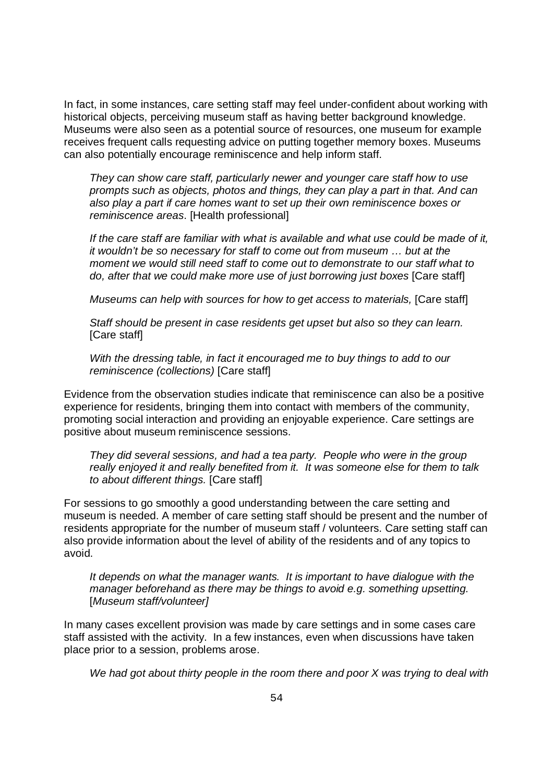In fact, in some instances, care setting staff may feel under-confident about working with historical objects, perceiving museum staff as having better background knowledge. Museums were also seen as a potential source of resources, one museum for example receives frequent calls requesting advice on putting together memory boxes. Museums can also potentially encourage reminiscence and help inform staff.

*They can show care staff, particularly newer and younger care staff how to use prompts such as objects, photos and things, they can play a part in that. And can also play a part if care homes want to set up their own reminiscence boxes or reminiscence areas*. [Health professional]

*If the care staff are familiar with what is available and what use could be made of it, it wouldn't be so necessary for staff to come out from museum … but at the moment we would still need staff to come out to demonstrate to our staff what to do, after that we could make more use of just borrowing just boxes* [Care staff]

*Museums can help with sources for how to get access to materials, [Care staff]* 

*Staff should be present in case residents get upset but also so they can learn.*  [Care staff]

*With the dressing table, in fact it encouraged me to buy things to add to our reminiscence (collections)* [Care staff]

Evidence from the observation studies indicate that reminiscence can also be a positive experience for residents, bringing them into contact with members of the community, promoting social interaction and providing an enjoyable experience. Care settings are positive about museum reminiscence sessions.

*They did several sessions, and had a tea party. People who were in the group really enjoyed it and really benefited from it. It was someone else for them to talk to about different things.* [Care staff]

For sessions to go smoothly a good understanding between the care setting and museum is needed. A member of care setting staff should be present and the number of residents appropriate for the number of museum staff / volunteers. Care setting staff can also provide information about the level of ability of the residents and of any topics to avoid.

*It depends on what the manager wants. It is important to have dialogue with the manager beforehand as there may be things to avoid e.g. something upsetting.*  [*Museum staff/volunteer]*

In many cases excellent provision was made by care settings and in some cases care staff assisted with the activity. In a few instances, even when discussions have taken place prior to a session, problems arose.

*We had got about thirty people in the room there and poor X was trying to deal with*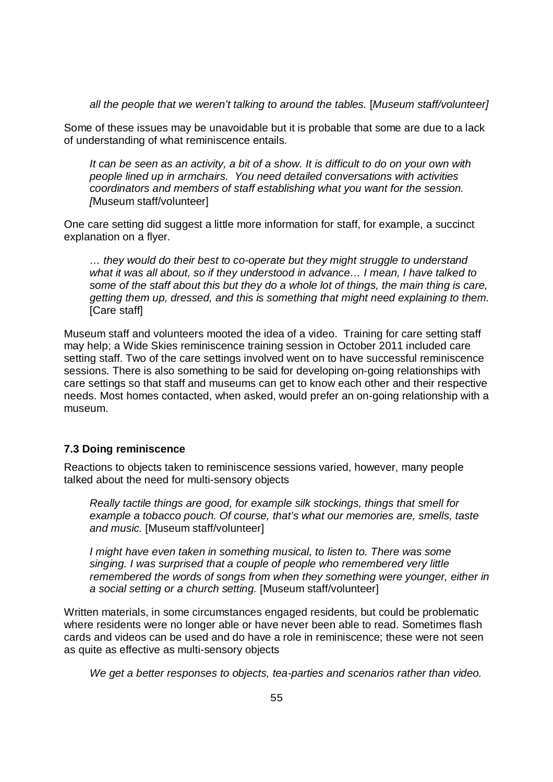*all the people that we weren't talking to around the tables.* [*Museum staff/volunteer]*

Some of these issues may be unavoidable but it is probable that some are due to a lack of understanding of what reminiscence entails.

*It can be seen as an activity, a bit of a show. It is difficult to do on your own with people lined up in armchairs. You need detailed conversations with activities coordinators and members of staff establishing what you want for the session. [*Museum staff/volunteer]

One care setting did suggest a little more information for staff, for example, a succinct explanation on a flyer.

*… they would do their best to co-operate but they might struggle to understand what it was all about, so if they understood in advance… I mean, I have talked to some of the staff about this but they do a whole lot of things, the main thing is care, getting them up, dressed, and this is something that might need explaining to them.*  [Care staff]

Museum staff and volunteers mooted the idea of a video. Training for care setting staff may help; a Wide Skies reminiscence training session in October 2011 included care setting staff. Two of the care settings involved went on to have successful reminiscence sessions. There is also something to be said for developing on-going relationships with care settings so that staff and museums can get to know each other and their respective needs. Most homes contacted, when asked, would prefer an on-going relationship with a museum.

#### **7.3 Doing reminiscence**

Reactions to objects taken to reminiscence sessions varied, however, many people talked about the need for multi-sensory objects

*Really tactile things are good, for example silk stockings, things that smell for*  example a tobacco pouch. Of course, that's what our memories are, smells, taste *and music.* [Museum staff/volunteer]

*I might have even taken in something musical, to listen to. There was some singing. I was surprised that a couple of people who remembered very little remembered the words of songs from when they something were younger, either in a social setting or a church setting.* [Museum staff/volunteer]

Written materials, in some circumstances engaged residents, but could be problematic where residents were no longer able or have never been able to read. Sometimes flash cards and videos can be used and do have a role in reminiscence; these were not seen as quite as effective as multi-sensory objects

*We get a better responses to objects, tea-parties and scenarios rather than video.*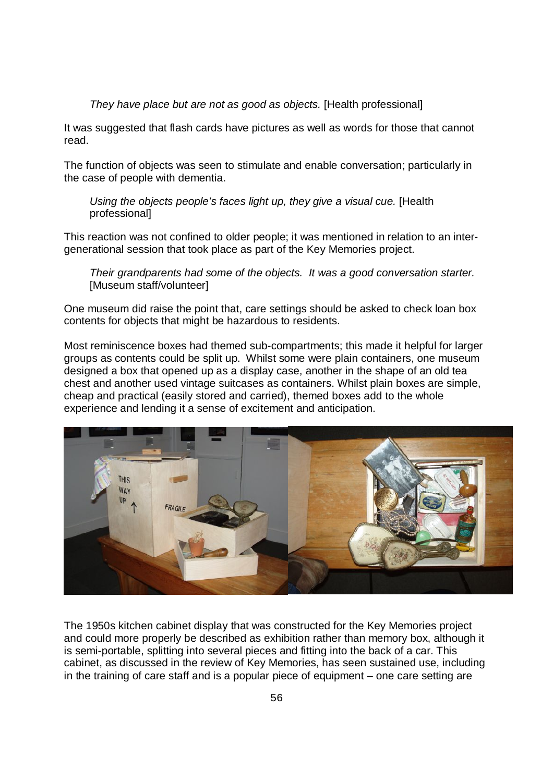#### *They have place but are not as good as objects.* [Health professional]

It was suggested that flash cards have pictures as well as words for those that cannot read.

The function of objects was seen to stimulate and enable conversation; particularly in the case of people with dementia.

*Using the objects people's faces light up, they give a visual cue.* [Health professional]

This reaction was not confined to older people; it was mentioned in relation to an intergenerational session that took place as part of the Key Memories project.

*Their grandparents had some of the objects. It was a good conversation starter.*  [Museum staff/volunteer]

One museum did raise the point that, care settings should be asked to check loan box contents for objects that might be hazardous to residents.

Most reminiscence boxes had themed sub-compartments; this made it helpful for larger groups as contents could be split up. Whilst some were plain containers, one museum designed a box that opened up as a display case, another in the shape of an old tea chest and another used vintage suitcases as containers. Whilst plain boxes are simple, cheap and practical (easily stored and carried), themed boxes add to the whole experience and lending it a sense of excitement and anticipation.



The 1950s kitchen cabinet display that was constructed for the Key Memories project and could more properly be described as exhibition rather than memory box, although it is semi-portable, splitting into several pieces and fitting into the back of a car. This cabinet, as discussed in the review of Key Memories, has seen sustained use, including in the training of care staff and is a popular piece of equipment – one care setting are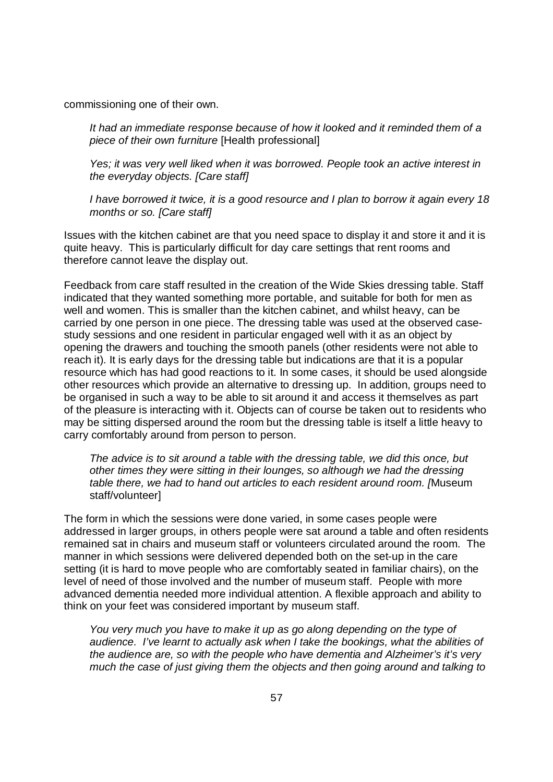commissioning one of their own.

*It had an immediate response because of how it looked and it reminded them of a piece of their own furniture* [Health professional]

*Yes; it was very well liked when it was borrowed. People took an active interest in the everyday objects. [Care staff]* 

*I have borrowed it twice, it is a good resource and I plan to borrow it again every 18 months or so. [Care staff]* 

Issues with the kitchen cabinet are that you need space to display it and store it and it is quite heavy. This is particularly difficult for day care settings that rent rooms and therefore cannot leave the display out.

Feedback from care staff resulted in the creation of the Wide Skies dressing table. Staff indicated that they wanted something more portable, and suitable for both for men as well and women. This is smaller than the kitchen cabinet, and whilst heavy, can be carried by one person in one piece. The dressing table was used at the observed casestudy sessions and one resident in particular engaged well with it as an object by opening the drawers and touching the smooth panels (other residents were not able to reach it). It is early days for the dressing table but indications are that it is a popular resource which has had good reactions to it. In some cases, it should be used alongside other resources which provide an alternative to dressing up. In addition, groups need to be organised in such a way to be able to sit around it and access it themselves as part of the pleasure is interacting with it. Objects can of course be taken out to residents who may be sitting dispersed around the room but the dressing table is itself a little heavy to carry comfortably around from person to person.

*The advice is to sit around a table with the dressing table, we did this once, but other times they were sitting in their lounges, so although we had the dressing table there, we had to hand out articles to each resident around room. [*Museum staff/volunteer]

The form in which the sessions were done varied, in some cases people were addressed in larger groups, in others people were sat around a table and often residents remained sat in chairs and museum staff or volunteers circulated around the room. The manner in which sessions were delivered depended both on the set-up in the care setting (it is hard to move people who are comfortably seated in familiar chairs), on the level of need of those involved and the number of museum staff. People with more advanced dementia needed more individual attention. A flexible approach and ability to think on your feet was considered important by museum staff.

*You very much you have to make it up as go along depending on the type of audience. I've learnt to actually ask when I take the bookings, what the abilities of the audience are, so with the people who have dementia and Alzheimer's it's very much the case of just giving them the objects and then going around and talking to*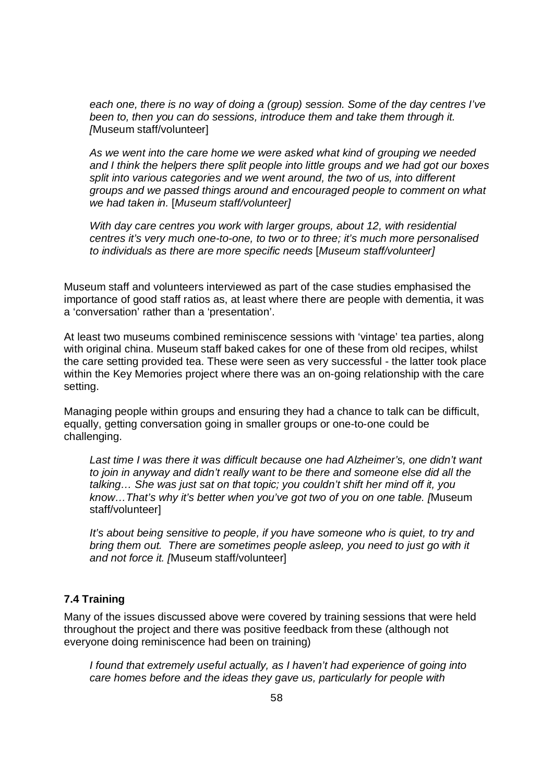*each one, there is no way of doing a (group) session. Some of the day centres I've been to, then you can do sessions, introduce them and take them through it. [*Museum staff/volunteer]

*As we went into the care home we were asked what kind of grouping we needed and I think the helpers there split people into little groups and we had got our boxes split into various categories and we went around, the two of us, into different groups and we passed things around and encouraged people to comment on what we had taken in.* [*Museum staff/volunteer]*

*With day care centres you work with larger groups, about 12, with residential centres it's very much one-to-one, to two or to three; it's much more personalised to individuals as there are more specific needs* [*Museum staff/volunteer]*

Museum staff and volunteers interviewed as part of the case studies emphasised the importance of good staff ratios as, at least where there are people with dementia, it was a 'conversation' rather than a 'presentation'.

At least two museums combined reminiscence sessions with 'vintage' tea parties, along with original china. Museum staff baked cakes for one of these from old recipes, whilst the care setting provided tea. These were seen as very successful - the latter took place within the Key Memories project where there was an on-going relationship with the care setting.

Managing people within groups and ensuring they had a chance to talk can be difficult, equally, getting conversation going in smaller groups or one-to-one could be challenging.

Last time I was there it was difficult because one had Alzheimer's, one didn't want *to join in anyway and didn't really want to be there and someone else did all the talking… She was just sat on that topic; you couldn't shift her mind off it, you know…That's why it's better when you've got two of you on one table. [*Museum staff/volunteer]

*It's about being sensitive to people, if you have someone who is quiet, to try and bring them out. There are sometimes people asleep, you need to just go with it and not force it. [*Museum staff/volunteer]

#### **7.4 Training**

Many of the issues discussed above were covered by training sessions that were held throughout the project and there was positive feedback from these (although not everyone doing reminiscence had been on training)

*I found that extremely useful actually, as I haven't had experience of going into care homes before and the ideas they gave us, particularly for people with*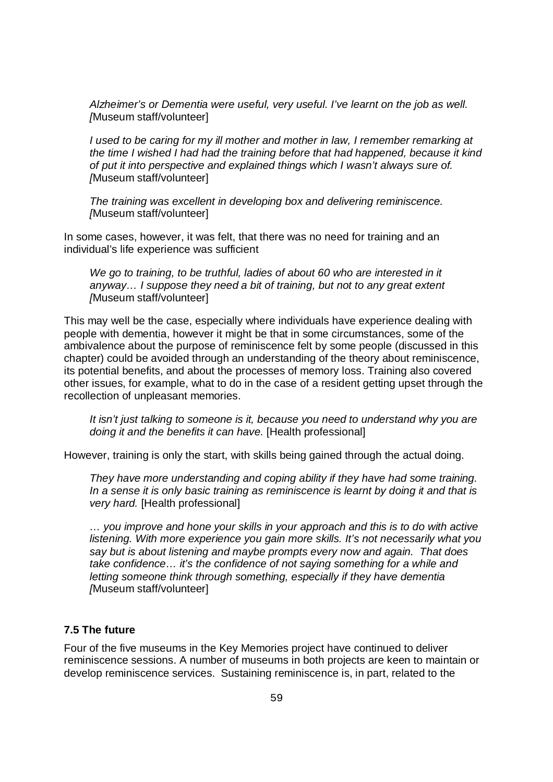*Alzheimer's or Dementia were useful, very useful. I've learnt on the job as well. [*Museum staff/volunteer]

*I* used to be caring for my ill mother and mother in law, I remember remarking at *the time I wished I had had the training before that had happened, because it kind of put it into perspective and explained things which I wasn't always sure of. [*Museum staff/volunteer]

*The training was excellent in developing box and delivering reminiscence. [*Museum staff/volunteer]

In some cases, however, it was felt, that there was no need for training and an individual's life experience was sufficient

*We go to training, to be truthful, ladies of about 60 who are interested in it anyway… I suppose they need a bit of training, but not to any great extent [*Museum staff/volunteer]

This may well be the case, especially where individuals have experience dealing with people with dementia, however it might be that in some circumstances, some of the ambivalence about the purpose of reminiscence felt by some people (discussed in this chapter) could be avoided through an understanding of the theory about reminiscence, its potential benefits, and about the processes of memory loss. Training also covered other issues, for example, what to do in the case of a resident getting upset through the recollection of unpleasant memories.

*It isn't just talking to someone is it, because you need to understand why you are doing it and the benefits it can have.* [Health professional]

However, training is only the start, with skills being gained through the actual doing.

*They have more understanding and coping ability if they have had some training. In a sense it is only basic training as reminiscence is learnt by doing it and that is very hard.* [Health professional]

*… you improve and hone your skills in your approach and this is to do with active listening. With more experience you gain more skills. It's not necessarily what you say but is about listening and maybe prompts every now and again. That does take confidence… it's the confidence of not saying something for a while and letting someone think through something, especially if they have dementia [*Museum staff/volunteer]

### **7.5 The future**

Four of the five museums in the Key Memories project have continued to deliver reminiscence sessions. A number of museums in both projects are keen to maintain or develop reminiscence services. Sustaining reminiscence is, in part, related to the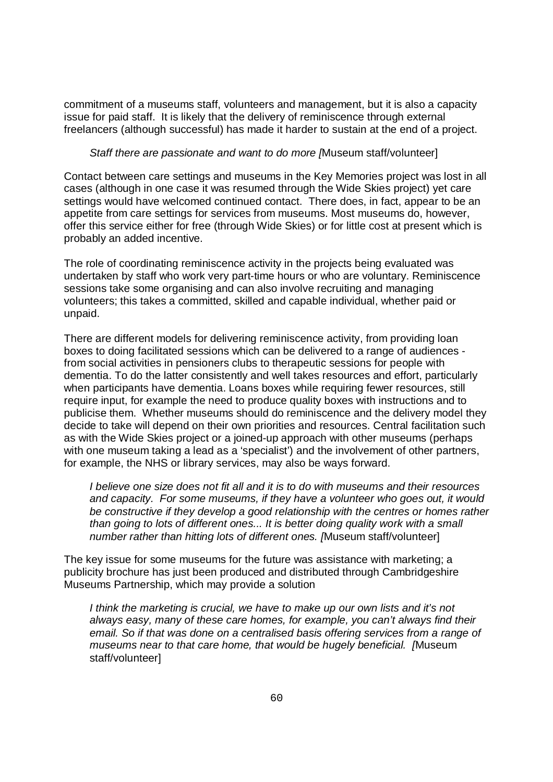commitment of a museums staff, volunteers and management, but it is also a capacity issue for paid staff. It is likely that the delivery of reminiscence through external freelancers (although successful) has made it harder to sustain at the end of a project.

#### *Staff there are passionate and want to do more [*Museum staff/volunteer]

Contact between care settings and museums in the Key Memories project was lost in all cases (although in one case it was resumed through the Wide Skies project) yet care settings would have welcomed continued contact. There does, in fact, appear to be an appetite from care settings for services from museums. Most museums do, however, offer this service either for free (through Wide Skies) or for little cost at present which is probably an added incentive.

The role of coordinating reminiscence activity in the projects being evaluated was undertaken by staff who work very part-time hours or who are voluntary. Reminiscence sessions take some organising and can also involve recruiting and managing volunteers; this takes a committed, skilled and capable individual, whether paid or unpaid.

There are different models for delivering reminiscence activity, from providing loan boxes to doing facilitated sessions which can be delivered to a range of audiences from social activities in pensioners clubs to therapeutic sessions for people with dementia. To do the latter consistently and well takes resources and effort, particularly when participants have dementia. Loans boxes while requiring fewer resources, still require input, for example the need to produce quality boxes with instructions and to publicise them. Whether museums should do reminiscence and the delivery model they decide to take will depend on their own priorities and resources. Central facilitation such as with the Wide Skies project or a joined-up approach with other museums (perhaps with one museum taking a lead as a 'specialist') and the involvement of other partners, for example, the NHS or library services, may also be ways forward.

*I believe one size does not fit all and it is to do with museums and their resources and capacity. For some museums, if they have a volunteer who goes out, it would be constructive if they develop a good relationship with the centres or homes rather than going to lots of different ones... It is better doing quality work with a small number rather than hitting lots of different ones. [*Museum staff/volunteer]

The key issue for some museums for the future was assistance with marketing; a publicity brochure has just been produced and distributed through Cambridgeshire Museums Partnership, which may provide a solution

I think the marketing is crucial, we have to make up our own lists and it's not *always easy, many of these care homes, for example, you can't always find their email. So if that was done on a centralised basis offering services from a range of museums near to that care home, that would be hugely beneficial. [*Museum staff/volunteer]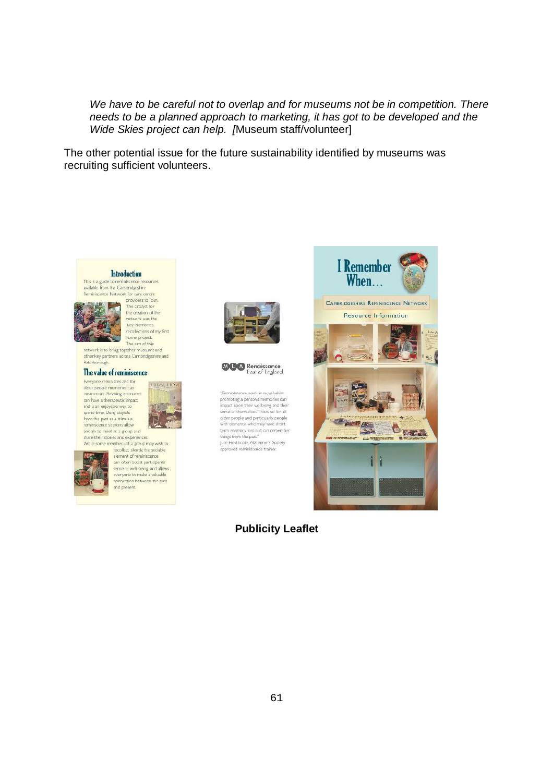*We have to be careful not to overlap and for museums not be in competition. There needs to be a planned approach to marketing, it has got to be developed and the Wide Skies project can help. [*Museum staff/volunteer]

The other potential issue for the future sustainability identified by museums was recruiting sufficient volunteers.

#### **Introduction**

This is a guide to reminiscence reservaliable from the Cambridgeshire Remisiscence Network for care rents providers to loan.



The catalyst for the creation of the Key Memories,<br>recolections of my first home' project.

The aim of this<br>network is to bring together museums and other key partners across Cambridgeshire and

#### The value of reminiscence Everyone reminisces and for

older people memories can<br>mean more. Reviving memories can have a therapeutic impact and is an enjoyable way to spend time. Using objects from the past as a stimulus. reminiscence sessions allow<br>people to meet as a group and thare their stories and experiences.



while some members of a group may wish to recollect slently the sociable element of reminiscence sense of well-being, and allows<br>everyone to make a valuable

connection between the past and present.





"Reminiscence work is so valuable: "Reminiscence work is so valuable;<br>promoting a person's memories can<br>impact upon their wellbeing and their sense of themselves. This is so for all older people and particularly people with dementia who may have short<br>term memory loss but can remember things from the past." trings from the past.<br>Julie Heathcote, Alzheimer's Society<br>approved reminiscence trainer.



**Publicity Leaflet**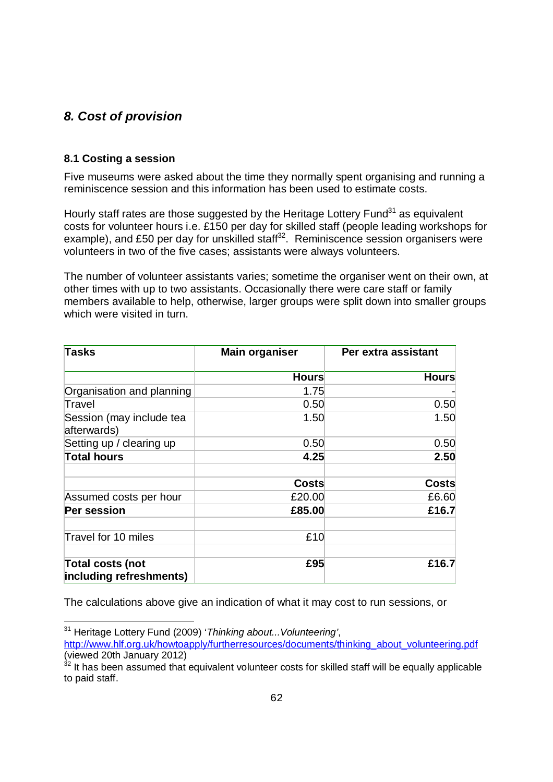## *8. Cost of provision*

### **8.1 Costing a session**

L,

Five museums were asked about the time they normally spent organising and running a reminiscence session and this information has been used to estimate costs.

Hourly staff rates are those suggested by the Heritage Lottery Fund<sup>31</sup> as equivalent costs for volunteer hours i.e. £150 per day for skilled staff (people leading workshops for example), and £50 per day for unskilled staff<sup>32</sup>. Reminiscence session organisers were volunteers in two of the five cases; assistants were always volunteers.

The number of volunteer assistants varies; sometime the organiser went on their own, at other times with up to two assistants. Occasionally there were care staff or family members available to help, otherwise, larger groups were split down into smaller groups which were visited in turn.

| <b>Tasks</b>                                | <b>Main organiser</b> | Per extra assistant |
|---------------------------------------------|-----------------------|---------------------|
|                                             | <b>Hours</b>          | <b>Hours</b>        |
| Organisation and planning                   | 1.75                  |                     |
| Travel                                      | 0.50                  | 0.50                |
| Session (may include tea<br>afterwards)     | 1.50                  | 1.50                |
| Setting up / clearing up                    | 0.50                  | 0.50                |
| <b>Total hours</b>                          | 4.25                  | 2.50                |
|                                             | Costs                 | Costs               |
| Assumed costs per hour                      | £20.00                | £6.60               |
| Per session                                 | £85.00                | £16.7               |
| Travel for 10 miles                         | £10                   |                     |
| Total costs (not<br>including refreshments) | £95                   | £16.7               |

The calculations above give an indication of what it may cost to run sessions, or

<sup>31</sup> Heritage Lottery Fund (2009) '*Thinking about...Volunteering'*, http://www.hlf.org.uk/howtoapply/furtherresources/documents/thinking\_about\_volunteering.pdf (viewed 20th January 2012)

 $32$  It has been assumed that equivalent volunteer costs for skilled staff will be equally applicable to paid staff.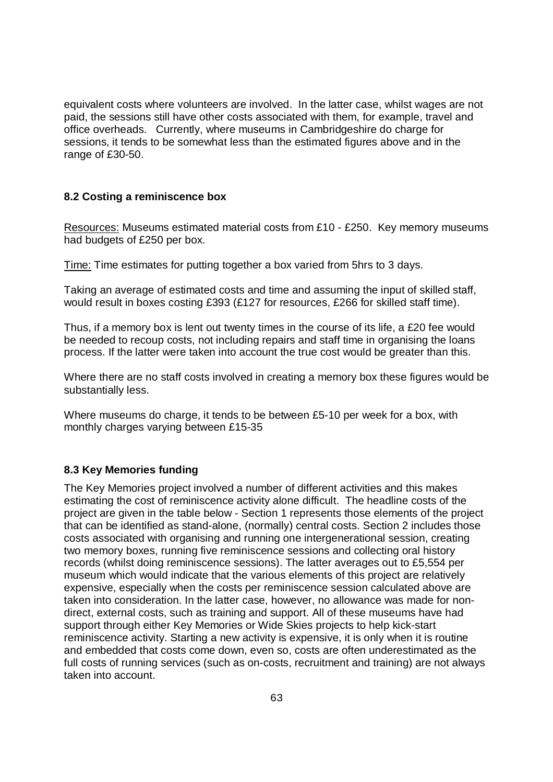equivalent costs where volunteers are involved. In the latter case, whilst wages are not paid, the sessions still have other costs associated with them, for example, travel and office overheads. Currently, where museums in Cambridgeshire do charge for sessions, it tends to be somewhat less than the estimated figures above and in the range of £30-50.

### **8.2 Costing a reminiscence box**

Resources: Museums estimated material costs from £10 - £250. Key memory museums had budgets of £250 per box.

Time: Time estimates for putting together a box varied from 5hrs to 3 days.

Taking an average of estimated costs and time and assuming the input of skilled staff, would result in boxes costing £393 (£127 for resources, £266 for skilled staff time).

Thus, if a memory box is lent out twenty times in the course of its life, a £20 fee would be needed to recoup costs, not including repairs and staff time in organising the loans process. If the latter were taken into account the true cost would be greater than this.

Where there are no staff costs involved in creating a memory box these figures would be substantially less.

Where museums do charge, it tends to be between £5-10 per week for a box, with monthly charges varying between £15-35

#### **8.3 Key Memories funding**

The Key Memories project involved a number of different activities and this makes estimating the cost of reminiscence activity alone difficult. The headline costs of the project are given in the table below - Section 1 represents those elements of the project that can be identified as stand-alone, (normally) central costs. Section 2 includes those costs associated with organising and running one intergenerational session, creating two memory boxes, running five reminiscence sessions and collecting oral history records (whilst doing reminiscence sessions). The latter averages out to £5,554 per museum which would indicate that the various elements of this project are relatively expensive, especially when the costs per reminiscence session calculated above are taken into consideration. In the latter case, however, no allowance was made for nondirect, external costs, such as training and support. All of these museums have had support through either Key Memories or Wide Skies projects to help kick-start reminiscence activity. Starting a new activity is expensive, it is only when it is routine and embedded that costs come down, even so, costs are often underestimated as the full costs of running services (such as on-costs, recruitment and training) are not always taken into account.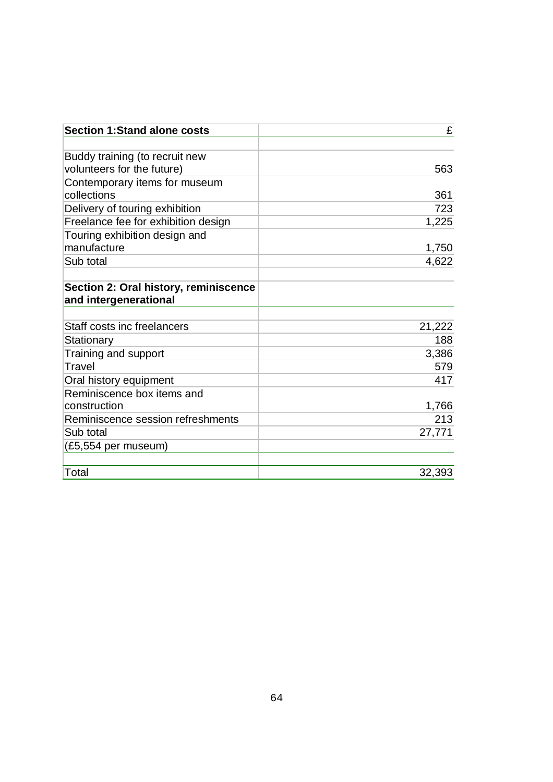| <b>Section 1:Stand alone costs</b>                             | £      |
|----------------------------------------------------------------|--------|
| Buddy training (to recruit new                                 |        |
| volunteers for the future)                                     | 563    |
| Contemporary items for museum<br>collections                   | 361    |
| Delivery of touring exhibition                                 | 723    |
| Freelance fee for exhibition design                            | 1,225  |
| Touring exhibition design and<br>manufacture                   | 1,750  |
| Sub total                                                      | 4,622  |
| Section 2: Oral history, reminiscence<br>and intergenerational |        |
| Staff costs inc freelancers                                    | 21,222 |
| Stationary                                                     | 188    |
| Training and support                                           | 3,386  |
| Travel                                                         | 579    |
| Oral history equipment                                         | 417    |
| Reminiscence box items and                                     |        |
| construction                                                   | 1,766  |
| Reminiscence session refreshments                              | 213    |
| Sub total                                                      | 27,771 |
| (£5,554 per museum)                                            |        |
| Total                                                          | 32,393 |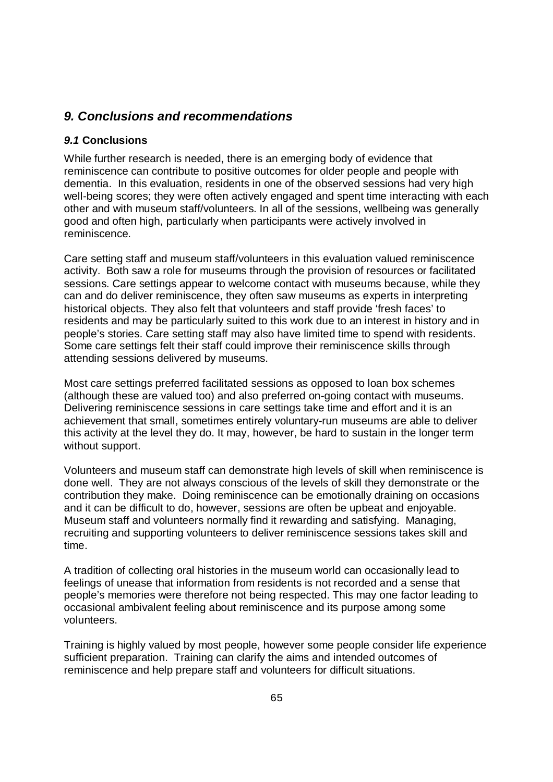## *9. Conclusions and recommendations*

### *9.1* **Conclusions**

While further research is needed, there is an emerging body of evidence that reminiscence can contribute to positive outcomes for older people and people with dementia. In this evaluation, residents in one of the observed sessions had very high well-being scores; they were often actively engaged and spent time interacting with each other and with museum staff/volunteers. In all of the sessions, wellbeing was generally good and often high, particularly when participants were actively involved in reminiscence.

Care setting staff and museum staff/volunteers in this evaluation valued reminiscence activity. Both saw a role for museums through the provision of resources or facilitated sessions. Care settings appear to welcome contact with museums because, while they can and do deliver reminiscence, they often saw museums as experts in interpreting historical objects. They also felt that volunteers and staff provide 'fresh faces' to residents and may be particularly suited to this work due to an interest in history and in people's stories. Care setting staff may also have limited time to spend with residents. Some care settings felt their staff could improve their reminiscence skills through attending sessions delivered by museums.

Most care settings preferred facilitated sessions as opposed to loan box schemes (although these are valued too) and also preferred on-going contact with museums. Delivering reminiscence sessions in care settings take time and effort and it is an achievement that small, sometimes entirely voluntary-run museums are able to deliver this activity at the level they do. It may, however, be hard to sustain in the longer term without support.

Volunteers and museum staff can demonstrate high levels of skill when reminiscence is done well. They are not always conscious of the levels of skill they demonstrate or the contribution they make. Doing reminiscence can be emotionally draining on occasions and it can be difficult to do, however, sessions are often be upbeat and enjoyable. Museum staff and volunteers normally find it rewarding and satisfying. Managing, recruiting and supporting volunteers to deliver reminiscence sessions takes skill and time.

A tradition of collecting oral histories in the museum world can occasionally lead to feelings of unease that information from residents is not recorded and a sense that people's memories were therefore not being respected. This may one factor leading to occasional ambivalent feeling about reminiscence and its purpose among some volunteers.

Training is highly valued by most people, however some people consider life experience sufficient preparation. Training can clarify the aims and intended outcomes of reminiscence and help prepare staff and volunteers for difficult situations.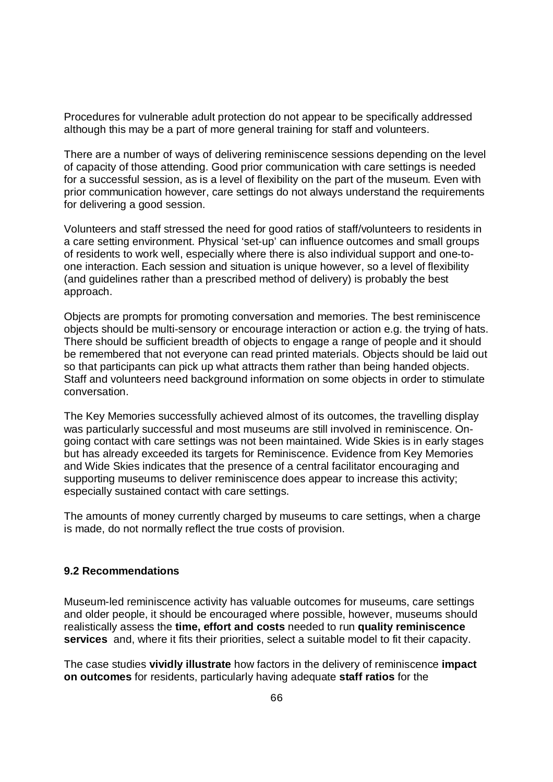Procedures for vulnerable adult protection do not appear to be specifically addressed although this may be a part of more general training for staff and volunteers.

There are a number of ways of delivering reminiscence sessions depending on the level of capacity of those attending. Good prior communication with care settings is needed for a successful session, as is a level of flexibility on the part of the museum. Even with prior communication however, care settings do not always understand the requirements for delivering a good session.

Volunteers and staff stressed the need for good ratios of staff/volunteers to residents in a care setting environment. Physical 'set-up' can influence outcomes and small groups of residents to work well, especially where there is also individual support and one-toone interaction. Each session and situation is unique however, so a level of flexibility (and guidelines rather than a prescribed method of delivery) is probably the best approach.

Objects are prompts for promoting conversation and memories. The best reminiscence objects should be multi-sensory or encourage interaction or action e.g. the trying of hats. There should be sufficient breadth of objects to engage a range of people and it should be remembered that not everyone can read printed materials. Objects should be laid out so that participants can pick up what attracts them rather than being handed objects. Staff and volunteers need background information on some objects in order to stimulate conversation.

The Key Memories successfully achieved almost of its outcomes, the travelling display was particularly successful and most museums are still involved in reminiscence. Ongoing contact with care settings was not been maintained. Wide Skies is in early stages but has already exceeded its targets for Reminiscence. Evidence from Key Memories and Wide Skies indicates that the presence of a central facilitator encouraging and supporting museums to deliver reminiscence does appear to increase this activity; especially sustained contact with care settings.

The amounts of money currently charged by museums to care settings, when a charge is made, do not normally reflect the true costs of provision.

#### **9.2 Recommendations**

Museum-led reminiscence activity has valuable outcomes for museums, care settings and older people, it should be encouraged where possible, however, museums should realistically assess the **time, effort and costs** needed to run **quality reminiscence services** and, where it fits their priorities, select a suitable model to fit their capacity.

The case studies **vividly illustrate** how factors in the delivery of reminiscence **impact on outcomes** for residents, particularly having adequate **staff ratios** for the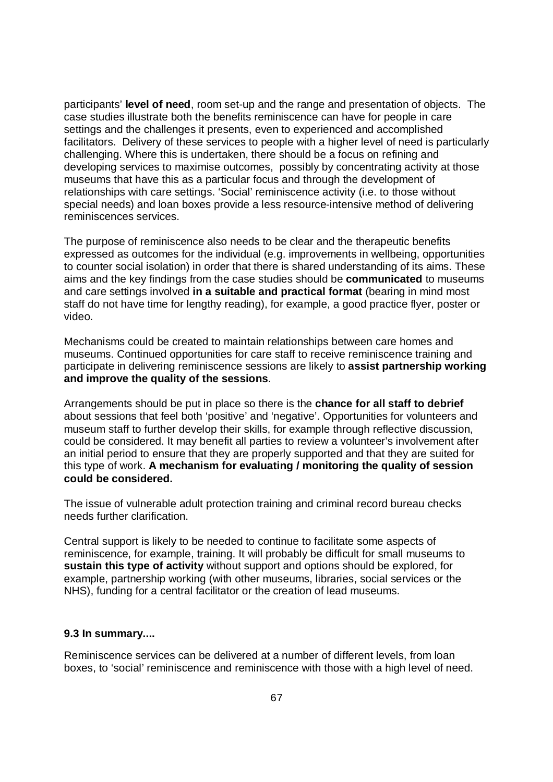participants' **level of need**, room set-up and the range and presentation of objects. The case studies illustrate both the benefits reminiscence can have for people in care settings and the challenges it presents, even to experienced and accomplished facilitators. Delivery of these services to people with a higher level of need is particularly challenging. Where this is undertaken, there should be a focus on refining and developing services to maximise outcomes, possibly by concentrating activity at those museums that have this as a particular focus and through the development of relationships with care settings. 'Social' reminiscence activity (i.e. to those without special needs) and loan boxes provide a less resource-intensive method of delivering reminiscences services.

The purpose of reminiscence also needs to be clear and the therapeutic benefits expressed as outcomes for the individual (e.g. improvements in wellbeing, opportunities to counter social isolation) in order that there is shared understanding of its aims. These aims and the key findings from the case studies should be **communicated** to museums and care settings involved **in a suitable and practical format** (bearing in mind most staff do not have time for lengthy reading), for example, a good practice flyer, poster or video.

Mechanisms could be created to maintain relationships between care homes and museums. Continued opportunities for care staff to receive reminiscence training and participate in delivering reminiscence sessions are likely to **assist partnership working and improve the quality of the sessions**.

Arrangements should be put in place so there is the **chance for all staff to debrief** about sessions that feel both 'positive' and 'negative'. Opportunities for volunteers and museum staff to further develop their skills, for example through reflective discussion, could be considered. It may benefit all parties to review a volunteer's involvement after an initial period to ensure that they are properly supported and that they are suited for this type of work. **A mechanism for evaluating / monitoring the quality of session could be considered.**

The issue of vulnerable adult protection training and criminal record bureau checks needs further clarification.

Central support is likely to be needed to continue to facilitate some aspects of reminiscence, for example, training. It will probably be difficult for small museums to **sustain this type of activity** without support and options should be explored, for example, partnership working (with other museums, libraries, social services or the NHS), funding for a central facilitator or the creation of lead museums.

#### **9.3 In summary....**

Reminiscence services can be delivered at a number of different levels, from loan boxes, to 'social' reminiscence and reminiscence with those with a high level of need.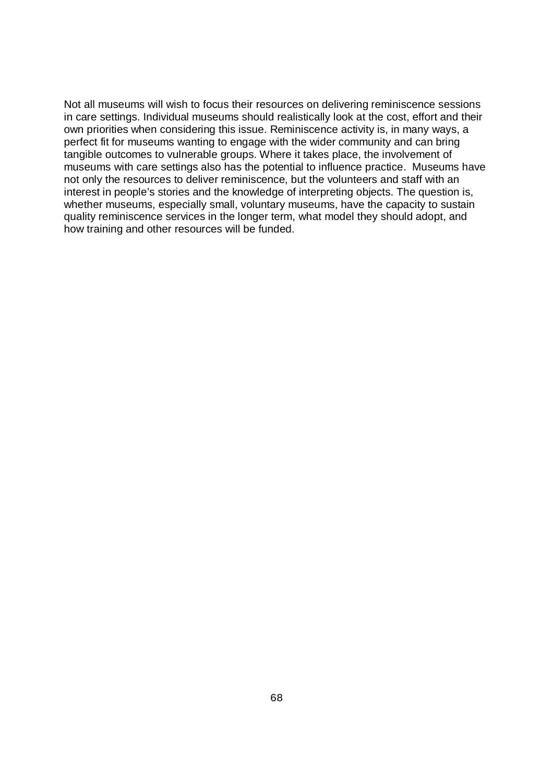Not all museums will wish to focus their resources on delivering reminiscence sessions in care settings. Individual museums should realistically look at the cost, effort and their own priorities when considering this issue. Reminiscence activity is, in many ways, a perfect fit for museums wanting to engage with the wider community and can bring tangible outcomes to vulnerable groups. Where it takes place, the involvement of museums with care settings also has the potential to influence practice. Museums have not only the resources to deliver reminiscence, but the volunteers and staff with an interest in people's stories and the knowledge of interpreting objects. The question is, whether museums, especially small, voluntary museums, have the capacity to sustain quality reminiscence services in the longer term, what model they should adopt, and how training and other resources will be funded.